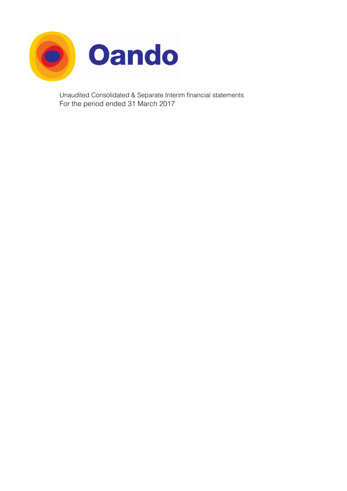

Unaudited Consolidated & Separate Interim financial statements For the period ended 31 March 2017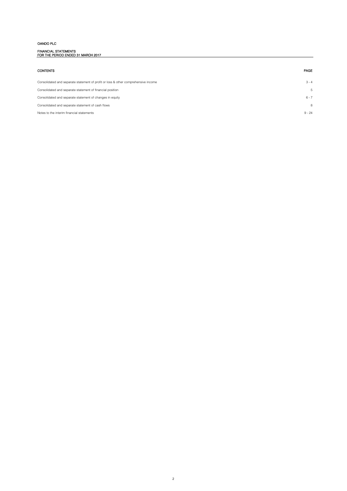### OANDO PLC

### FINANCIAL STATEMENTS FOR THE PERIOD ENDED 31 MARCH 2017

| <b>CONTENTS</b>                                                                    | PAGE     |
|------------------------------------------------------------------------------------|----------|
| Consolidated and separate statement of profit or loss & other comprehensive income | $3 - 4$  |
| Consolidated and separate statement of financial position                          | 5        |
| Consolidated and separate statement of changes in equity                           | $6 - 7$  |
| Consolidated and separate statement of cash flows                                  | 8        |
| Notes to the interim financial statements                                          | $9 - 24$ |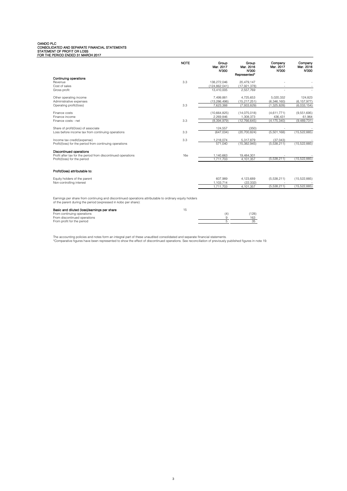# OANDO PLC CONSOLIDATED AND SEPARATE FINANCIAL STATEMENTS STATEMENT OF PROFIT OR LOSS FOR THE PERIOD ENDED 31 MARCH 2017

|                                                              | <b>NOTE</b> | Group<br>Mar. 2017<br>N'000 | Group<br>Mar. 2016<br>N'000<br>Represented* | Company<br>Mar. 2017<br>N'000 | Company<br>Mar. 2016<br>N'000 |
|--------------------------------------------------------------|-------------|-----------------------------|---------------------------------------------|-------------------------------|-------------------------------|
| Continuing operations                                        |             |                             |                                             |                               |                               |
| Revenue                                                      | 3.3         | 138.272.046                 | 20,479,147                                  |                               |                               |
| Cost of sales                                                |             | (124, 862, 041)             | (17, 921, 378)                              |                               |                               |
| Gross profit                                                 |             | 13.410.005                  | 2.557.769                                   |                               |                               |
| Other operating income                                       |             | 7,499,881                   | 4,725,653                                   | 5,020,332                     | 124,823                       |
| Administrative expenses                                      |             | (13, 286, 498)              | (15, 217, 251)                              | (6,346,160)                   | (6, 157, 977)                 |
| Operating profit/(loss)                                      | 3.3         | 7.623.388                   | (7,933,829)                                 | (1,325,828)                   | (6,033,154)                   |
| Finance costs                                                |             | (10,664,825)                | (14,075,018)                                | (4,611,771)                   | (9,551,695)                   |
| Finance income                                               |             | 2,269,846                   | 1,308,373                                   | 436.431                       | 61,964                        |
| Finance costs - net                                          | 3.3         | (8,394,979)                 | (12,766,645)                                | (4, 175, 340)                 | (9, 489, 731)                 |
| Share of profit/(loss) of associate                          |             | 124.557                     | (350)                                       |                               |                               |
| Loss before income tax from continuing operations            | 3.3         | (647, 034)                  | (20, 700, 824)                              | (5,501,168)                   | (15, 522, 885)                |
| Income tax credit/(expense)                                  | 3.3         | 1,218,074                   | 5,317,879                                   | (37, 043)                     |                               |
| Profit/(loss) for the period from continuing operations      |             | 571.040                     | (15, 382, 945)                              | (5,538,211)                   | (15, 522, 885)                |
| <b>Discontinued operations</b>                               |             |                             |                                             |                               |                               |
| Profit after tax for the period from discontinued operations | 16e         | 1.140,663                   | 19,484,301                                  |                               |                               |
| Profit/(loss) for the period                                 |             | 1.711.703                   | 4,101,357                                   | (5,538,211)                   | (15, 522, 885)                |
| Profit/(loss) attributable to:                               |             |                             |                                             |                               |                               |
| Equity holders of the parent<br>Non-controlling interest     |             | 607.989<br>1,103,714        | 4.123.689<br>(22, 332)                      | (5,538,211)                   | (15, 522, 885)                |
|                                                              |             | 1,711,703                   | 4,101,357                                   | (5,538,211)                   | (15, 522, 885)                |

| Basic and diluted (loss)/earnings per share |    |       |
|---------------------------------------------|----|-------|
| From continuing operations                  | 14 | (128) |
| From discontinued operations                |    |       |
| From profit for the period                  |    |       |
|                                             |    |       |

The accounting policies and notes form an integral part of these unaudited consolidated and separate financial statements.<br>\*Comparative figures have been represented to show the effect of discontinued operations. See recon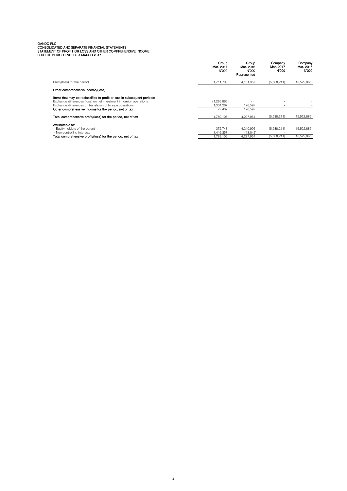# OANDO PLC<br>CONSOLIDATED AND SEPARATE FINANCIAL STATEMENTS<br>STATEMENT OF PROFIT OR LOSS AND OTHER COMPREHENSIVE INCOME<br>FOR THE PERIOD ENDED 31 MARCH 2017

|                                                                                                                                                                                                                                                                      | Group<br>Mar. 2017<br>N'000         | Group<br>Mar. 2016<br><b>N'000</b><br>Represented | Company<br>Mar. 2017<br><b>N'000</b> | Company<br>Mar. 2016<br><b>N'000</b> |
|----------------------------------------------------------------------------------------------------------------------------------------------------------------------------------------------------------------------------------------------------------------------|-------------------------------------|---------------------------------------------------|--------------------------------------|--------------------------------------|
| Profit/(loss) for the period                                                                                                                                                                                                                                         | 1.711.703                           | 4,101,357                                         | (5,538,211)                          | (15, 522, 885)                       |
| Other comprehensive income/(loss):                                                                                                                                                                                                                                   |                                     |                                                   |                                      |                                      |
| Items that may be reclassified to profit or loss in subsequent periods:<br>Exchange differences (loss) on net investment in foreign operations<br>Exchange differences on translation of foreign operations<br>Other comprehensive income for the period, net of tax | (1, 226, 865)<br>.304.267<br>77.402 | 126.597<br>126,597                                |                                      |                                      |
| Total comprehensive profit/(loss) for the period, net of tax                                                                                                                                                                                                         | 1.789.105                           | 4.227.954                                         | (5,538,211)                          | (15,522,885)                         |
| Attributable to:<br>- Equity holders of the parent<br>- Non-controlling interests<br>Total comprehensive profit/(loss) for the period, net of tax                                                                                                                    | 372.748<br>1.416.357<br>1.789.105   | 4.240.996<br>(13, 042)<br>4.227.954               | (5,538,211)<br>(5,538,211)           | (15, 522, 885)<br>(15, 522, 885)     |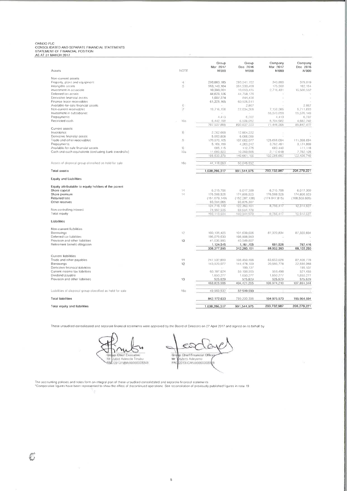# OANDO PLC<br>CONSOLIDATED AND SEPARATE FINANCIAL STATEMENTS<br>STATEMENT OF FINANCIAL POSITION<br>AS AT 31 MARCH 2017

| Assets                                                    | <b>NOTE</b> | Group<br>Mar 2017<br>N'000 | Group<br>Dec 2016<br>N'000 | Company<br>Mar 2017<br>N'000 | Company<br>Dec 2016<br>N'000 |
|-----------------------------------------------------------|-------------|----------------------------|----------------------------|------------------------------|------------------------------|
| Non-current assets                                        |             |                            |                            |                              |                              |
| Property, plant and equipment                             | 41          | 290,683 185                | 293_541,702                | 340,880                      | 379.819                      |
| inlangible accels                                         | 5           | 363,140,164                | 361,530,468                | 175,560                      | 162,154                      |
| Investment in associate                                   |             | 10,390,201                 | 10,653,425                 | 2 716 431                    | 15,500,552                   |
| Deferred tax accets                                       |             | 44,829,126                 | 44,758,179                 |                              |                              |
| Derivative financial accets                               |             | 1,007,274                  | 844,438                    |                              |                              |
| Finance lease receivables                                 |             | 61,325,165                 | 60,926,511                 |                              |                              |
| Available-for-sale financial assets                       | ë.          |                            | 2,867                      |                              | 2.667                        |
| Non-current receivables                                   | ğ.          | 19,716,158                 | 22,034,389                 | 7,130,369                    | 9,711,693                    |
| Investment in subsidiaries                                |             |                            |                            | 55 373,650                   | 55,376,149                   |
| Prepaymento                                               |             | 4,413                      | 6.292                      | 4,413                        | 6,292                        |
| Rectricted cash                                           | 10a         | 6,442,199                  | 6,538,952                  | 5,704,982                    | 4,662,749                    |
|                                                           |             | 797,537,885                | 800,837,223                | 71,446.505                   | 85,842,472                   |
| Current assets                                            |             |                            |                            |                              |                              |
| Inventories                                               | s.          | 2,262,669                  | 12,604,332                 |                              |                              |
| Derivalive financial assets                               |             |                            |                            |                              |                              |
| Trade and eiher recoivables                               | 9           | 5,863,608                  | 6,088,089                  | 125 696,094                  | 111,398,694                  |
| Prepayments                                               |             | 170,970,105<br>5,168,159   | 107,002,077<br>4,263,242   | 3,792,491                    | 3,174,809                    |
|                                                           | Ø.          |                            |                            |                              |                              |
| Available-for-cale financial assets                       |             | £85,115                    | 112,775                    | 683,449                      | 111,118                      |
| Cash and cash equivalents (excluding bank overdrafts)     | 10a         | 11,680,523                 | 10.390.565                 | 2.112.648                    | 7,752,126                    |
|                                                           |             | 196,630,379                | 140,661,100                | 132,286,682                  | 122,436,749                  |
| Assets of disposal group classified as held for sale      | <b>16c</b>  | 44_118_053                 | 50,046,652                 |                              |                              |
|                                                           |             |                            |                            |                              |                              |
| <b>Total assets</b>                                       |             | 1,038,286,317              | 991,544,975                | 203,732,987                  | 208,279,221                  |
| <b>Equity and Liabilities</b>                             |             |                            |                            |                              |                              |
| Equity attributable to equity holders of the parent       |             |                            |                            |                              |                              |
| Share capital                                             | 14          | 6,215,706                  | 6,017,309                  | 6,215,706                    | 6,017,309                    |
| Share premium                                             | 14          | 176,588,526                | 174,806,923                | 176,588,526                  | 174,806,923                  |
| Retained loss                                             |             | (151, 679, 149)            | (152, 287, 138)            | (174.047, 015)               | (168, 509, 605)              |
| Other reserves                                            |             | 93,591,065                 | 93,826,307                 |                              |                              |
|                                                           |             | 124,716,149                | 122,363,401                | 8,756,417                    | 12,314,627                   |
| Non controlling interest                                  |             | 71,397,535                 | 69,981,178                 |                              |                              |
| Total equity                                              |             | 199,113,684                | 192,344,579                | 8,756;417                    | 12:314.627                   |
| Liabilities                                               |             |                            |                            |                              |                              |
| Non-current liabilities                                   |             |                            |                            |                              |                              |
| Borrowings                                                | 12          | 100, 136, 425              | 101,639,606                | 87,320,834                   | 87,320,834                   |
| Deferred tax liabilities                                  |             | 196,079,630                | 198,908,983                |                              |                              |
| Provision and other liabilities                           | 13          | 41,036,995                 | 40,549,807                 |                              |                              |
| Retirement benefit obligation                             |             | 1,124,545                  | 1,161,705                  | 681,526                      | 782,416                      |
|                                                           |             | 338,377,595                | 342,260,101                | 88,002,360                   | 88,103,250                   |
|                                                           |             |                            |                            |                              |                              |
| Current liabilities                                       |             |                            |                            |                              |                              |
| Trade and other payables                                  | 11          | 247,532,899                | 198,459,488                | 83,653,028                   | 82,408,778                   |
| Borrowings                                                | 12          | 143,929,077                | 144.478.109                | 20,586,778                   | 22.556.068                   |
| Derivative financial liabilities                          |             |                            | 199,137                    |                              | 199,137                      |
| Current income tax liabilities                            |             | 60,187,624                 | 59,108,565                 | 559,498                      | 521,455                      |
| Dividend payable                                          |             | 1,650,277                  | 1.650.277                  | 1,650,277                    | 1,650,277                    |
| Provision and other liabilities                           | 13          | 525,629                    | 525,629                    | 525,629                      | 525,629                      |
|                                                           |             | 453,825,506                | 404,421,205                | 105,974,210                  | 107,861,344                  |
| Liabilities of disposal group classified as held for sale | 16c         | 49 969 532                 | 52 519 090                 |                              |                              |
|                                                           |             |                            |                            |                              |                              |
| <b>Total liabilities</b>                                  |             | 842 172 633                | 799 200 396                | 194 976 570                  | 195 954 594                  |
| Total equity and liabilities                              |             | 1,038,286,317              | 991,544,975                | 203,732,987                  | 208,279,221                  |
|                                                           |             |                            |                            |                              |                              |

 $\epsilon_{i}$ 

 $\heartsuit_4$ 

These unaudited consolidated and separate financial statements were approved by the Board of Directors on 27 April 2017 and signed on its behalf by

 $\sqrt{5}$ 

Group Chief Executive<br>Mr Jubril Adewale Tinubu<br>KEL/2013/NEIA/0000003338

ħχ

 $\alpha$ 

€ Ú Group Chief Financial Officer<br>Mr Diutemi Adeyemo<br>FRC 2013/ICAN/000000033

The accounting policies and notes form an integral part of these unaudited consolidated and separate financial statements<br>"Comparative figures have been represented to show the effect of discontinued operations. See reconc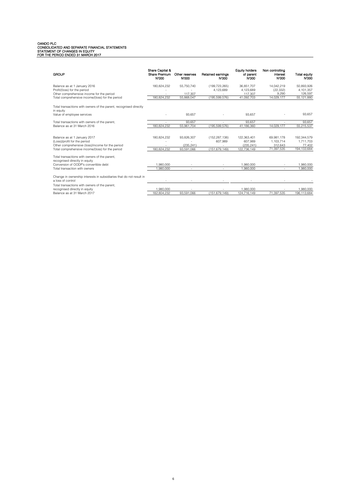## OANDO PLC CONSOLIDATED AND SEPARATE FINANCIAL STATEMENTS STATEMENT OF CHANGES IN EQUITY FOR THE PERIOD ENDED 31 MARCH 2017

| <b>GROUP</b>                                                                                                                                             | Share Capital &<br><b>Share Premium</b><br>N'000 | Other reserves<br><b>N'000</b> | Retained earnings<br>N'000 | <b>Equity holders</b><br>of parent<br><b>N'000</b> | Non controlling<br>interest<br>N'000       | <b>Total equity</b><br><b>N'000</b> |
|----------------------------------------------------------------------------------------------------------------------------------------------------------|--------------------------------------------------|--------------------------------|----------------------------|----------------------------------------------------|--------------------------------------------|-------------------------------------|
| Balance as at 1 January 2016                                                                                                                             | 180.824.232                                      | 55.750.740                     | (199.723.265)              | 36.851.707                                         | 14.042.219                                 | 50.893.926                          |
| Profit/(loss) for the period                                                                                                                             |                                                  |                                | 4,123,689                  | 4,123,689                                          | (22, 332)                                  | 4,101,357                           |
| Other comprehensive income for the period                                                                                                                |                                                  | 117.307                        |                            | 117.307                                            | 9.290                                      | 126.597                             |
| Total comprehensive income/(loss) for the period                                                                                                         | 180.824.232                                      | 55.868.047                     | (195.599.576)              | 41,092,703                                         | 14,029,177                                 | 55,121,880                          |
| Total transactions with owners of the parent, recognised directly<br>in equity                                                                           |                                                  |                                |                            |                                                    |                                            |                                     |
| Value of emplovee services                                                                                                                               |                                                  | 93.657                         |                            | 93.657                                             |                                            | 93,657                              |
| Total transactions with owners of the parent.                                                                                                            |                                                  | 93.657                         |                            | 93.657                                             | $\overline{\phantom{a}}$                   | 93.657                              |
| Balance as at 31 March 2016                                                                                                                              | 180.824.232                                      | 55.961.704                     | (195.599.576)              | 41.186.360                                         | 14.029.177                                 | 55.215.537                          |
| Balance as at 1 January 2017<br>(Loss)/profit for the period                                                                                             | 180,824,232                                      | 93,826,307                     | (152, 287, 138)<br>607.989 | 122.363.401<br>607.989                             | 69.981.178<br>1,103,714                    | 192.344.579<br>1,711,703            |
| Other comprehensive (loss)/income for the period                                                                                                         |                                                  | (235.241)                      |                            | (235.241)                                          | 312.643                                    | 77,402                              |
| Total comprehensive income/(loss) for the period                                                                                                         | 180.824.232                                      | 93.591.066                     | (151.679.149)              | 122,736,149                                        | 71.397.535                                 | 194.133.684                         |
| Total transactions with owners of the parent,<br>recognised directly in equity<br>Conversion of OODP's convertible debt<br>Total transaction with owners | 1.980.000<br>1.980.000                           |                                |                            | 1.980.000<br>1.980.000                             | $\overline{\phantom{a}}$<br>$\overline{a}$ | 1.980.000<br>1.980.000              |
| Change in ownership interests in subsidiaries that do not result in                                                                                      |                                                  |                                |                            |                                                    |                                            |                                     |
| a loss of control                                                                                                                                        |                                                  |                                |                            |                                                    |                                            |                                     |
| Total transactions with owners of the parent,                                                                                                            |                                                  |                                |                            |                                                    |                                            |                                     |
| recognised directly in equity                                                                                                                            | 1.980.000                                        |                                |                            | 1.980.000                                          |                                            | .980.000                            |
| Balance as at 31 March 2017                                                                                                                              | 182.804.232                                      | 93.591.066                     | (151.679.149)              | 124.716.149                                        | 71.397.535                                 | 196.113.684                         |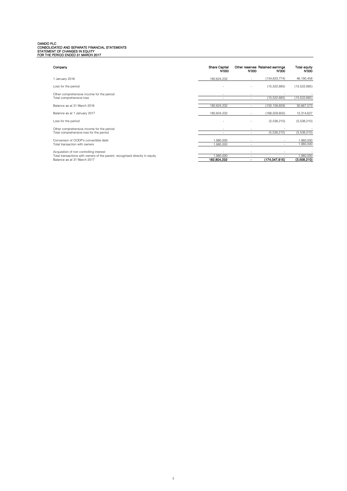# OANDO PLC CONSOLIDATED AND SEPARATE FINANCIAL STATEMENTS STATEMENT OF CHANGES IN EQUITY FOR THE PERIOD ENDED 31 MARCH 2017

| Company                                                                     | <b>Share Capital</b><br>N'000 | <b>N'000</b>             | Other reserves Retained earnings<br><b>N'000</b> | <b>Total equity</b><br><b>N'000</b> |
|-----------------------------------------------------------------------------|-------------------------------|--------------------------|--------------------------------------------------|-------------------------------------|
| 1 January 2016                                                              | 180,824,232                   | $\overline{\phantom{a}}$ | (134,633,774)                                    | 46,190,458                          |
| Loss for the period                                                         | $\overline{\phantom{a}}$      | ٠                        | (15, 522, 885)                                   | (15, 522, 885)                      |
| Other comprehensive income for the period                                   | $\overline{\phantom{a}}$      | ٠                        |                                                  |                                     |
| Total comprehensive loss                                                    | ٠                             | $\overline{\phantom{a}}$ | (15, 522, 885)                                   | (15, 522, 885)                      |
| Balance as at 31 March 2016                                                 | 180.824.232                   | $\overline{\phantom{a}}$ | (150, 156, 659)                                  | 30,667,573                          |
| Balance as at 1 January 2017                                                | 180.824.232                   | ٠                        | (168, 509, 605)                                  | 12,314,627                          |
| Loss for the period                                                         | ٠                             | ٠                        | (5,538,210)                                      | (5,538,210)                         |
| Other comprehensive income for the period                                   | $\overline{\phantom{a}}$      | ٠                        |                                                  |                                     |
| Total comprehensive loss for the period                                     | $\overline{\phantom{a}}$      | $\overline{\phantom{a}}$ | (5,538,210)                                      | (5,538,210)                         |
| Conversion of OODP's convertible debt                                       | 1.980.000                     |                          |                                                  | 1,980,000                           |
| Total transaction with owners                                               | 1.980.000                     | ٠                        | $\overline{\phantom{a}}$                         | 1,980,000                           |
| Acquisition of non controlling interest                                     |                               | $\overline{\phantom{a}}$ |                                                  |                                     |
| Total transactions with owners of the parent, recognised directly in equity | .980.000                      | ۰                        |                                                  | 1.980.000                           |
| Balance as at 31 March 2017                                                 | 182.804,232                   | $\blacksquare$           | (174.047.815)                                    | (3,558,210)                         |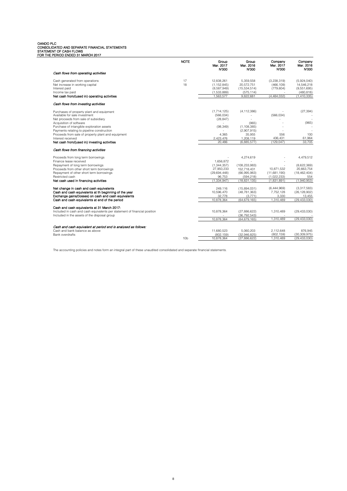# OANDO PLC CONSOLIDATED AND SEPARATE FINANCIAL STATEMENTS STATEMENT OF CASH FLOWS FOR THE PERIOD ENDED 31 MARCH 2017

|                                                                                                                                                                                                                                                                                                                                                                     | <b>NOTE</b>     | Group<br>Mar. 2017<br>N'000                                                              | Group<br>Mar. 2016<br><b>N'000</b>                                                           | Company<br>Mar. 2017<br>N'000                            | Company<br>Mar. 2016<br><b>N'000</b>                                           |
|---------------------------------------------------------------------------------------------------------------------------------------------------------------------------------------------------------------------------------------------------------------------------------------------------------------------------------------------------------------------|-----------------|------------------------------------------------------------------------------------------|----------------------------------------------------------------------------------------------|----------------------------------------------------------|--------------------------------------------------------------------------------|
| Cash flows from operating activities                                                                                                                                                                                                                                                                                                                                |                 |                                                                                          |                                                                                              |                                                          |                                                                                |
| Cash generated from operations<br>Net increase in working capital<br>Interest paid<br>Income tax paid<br>Net cash from/(used in) operating activities                                                                                                                                                                                                               | 17<br>18        | 12,838,261<br>(1, 152, 845)<br>(8,587,949)<br>(1,533,889)<br>1,563,577                   | 5,359,558<br>20,572,751<br>(15,534,514)<br>(575, 114)<br>9,822,681                           | (3,238,319)<br>(466.109)<br>(779, 604)<br>(4,484,032)    | (5,924,040)<br>14,546,218<br>(9,551,695)<br>(480, 818)<br>(1, 410, 335)        |
| Cash flows from investing activities                                                                                                                                                                                                                                                                                                                                |                 |                                                                                          |                                                                                              |                                                          |                                                                                |
| Purchases of property plant and equipment<br>Available for sale investment<br>Net proceeds from sale of subsidiary<br>Acquisition of software<br>Purchase of intangible exploration assets<br>Payments relating to pipeline construction<br>Proceeds from sale of property plant and equipment<br>Interest received<br>Net cash from/(used in) investing activities |                 | (1,714,125)<br>(566, 034)<br>(28, 847)<br>٠<br>(98, 349)<br>4.365<br>2,423,476<br>20.486 | (4, 112, 386)<br>(965)<br>(1, 108, 385)<br>(2,907,915)<br>35,955<br>1,208,119<br>(6,885,577) | (566, 034)<br>556<br>436,431<br>(129.047)                | (27, 394)<br>(965)<br>100<br>61,964<br>33.705                                  |
| Cash flows from financing activities                                                                                                                                                                                                                                                                                                                                |                 |                                                                                          |                                                                                              |                                                          |                                                                                |
| Proceeds from long term borrowings<br>Finance lease received<br>Repayment of long term borrowings<br>Proceeds from other short term borrowings<br>Repayment of other short term borrowings<br>Restricted cash<br>Net cash used in financing activities                                                                                                              |                 | 1,656,872<br>(1,344,357)<br>27,950,233<br>(29, 694, 448)<br>96,753<br>(1, 334, 947)      | 4,274,619<br>(108, 233, 983)<br>152,718,431<br>(66,995,983)<br>(594, 218)<br>(18, 831, 135)  | 10,871,532<br>(11,681,190)<br>(1,022,233)<br>(1,831,891) | 4.479.512<br>(8,622,369)<br>20.663.754<br>(18, 462, 404)<br>554<br>(1,940,953) |
| Net change in cash and cash equivalents<br>Cash and cash equivalents at th beginning of the year<br>Exchange gains/(losses) on cash and cash equivalents<br>Cash and cash equivalents at end of the period                                                                                                                                                          |                 | 249.116<br>10,596,470<br>32,778<br>10,878,364                                            | (15,894,031)<br>(48, 781, 363)<br>(3, 771)<br>(64, 679, 165)                                 | (6,444,969)<br>7,752,128<br>3,330<br>1,310,489           | (3,317,583)<br>(26, 128, 902)<br>13,455<br>(29, 433, 030)                      |
| Cash and cash equivalents at 31 March 2017:<br>Included in cash and cash equivalents per statement of financial position<br>Included in the assets of the disposal group                                                                                                                                                                                            |                 | 10,878,364<br>10,878,364                                                                 | (27,886,622)<br>(36, 792, 543)<br>(64, 679, 165)                                             | 1,310,489<br>1,310,489                                   | (29, 433, 030)<br>(29, 433, 030)                                               |
| Cash and cash equivalent at period end is analysed as follows:<br>Cash and bank balance as above<br><b>Bank overdrafts</b>                                                                                                                                                                                                                                          | 10 <sub>b</sub> | 11,680,523<br>(802.159)<br>10,878,364                                                    | 5,060,203<br>(32.946.825)<br>(27, 886, 622)                                                  | 2.112.648<br>(802, 159)<br>1,310,489                     | 876.945<br>(30, 309, 975)<br>(29, 433, 030)                                    |

The accounting policies and notes form an integral part of these unaudited consolidated and separate financial statements.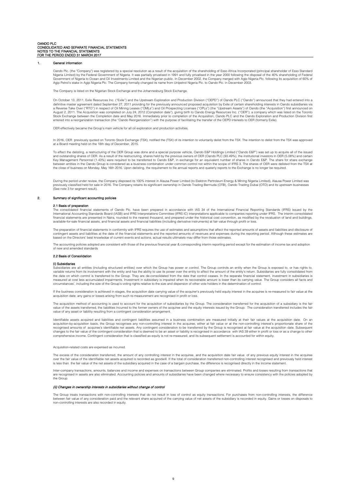#### 1. General information

Oando Plc. (the "Company") was registered by a special resolution as a result of the acquisition of the shareholding of Esso Africa Incorporated (principal shareholder of Esso Standard Nigeria Limited) by the Federal Government of Nigeria. It was partially privatised in and fully privatised in the year 2000 following the disposal of the 40% shareholding of Federa<br>Government of Nigeria to Ocean and Oil In Agip Petrol's stake in Agip Nigeria Plc. The Company formally changed its name from Unipetrol Nigeria Plc. to Oando Plc. in December 2003.

The Company is listed on the Nigerian Stock Exchange and the Johannesburg Stock Exchange.

On October 13, 2011, Exile Resources Inc. ('Exile') and the Upstream Exploration and Production Division ('OEPD') of Oando PLC ('Oando') announced that they had entered into a definitive master agreement dated September 27, 2011 providing for the previously announced proposed acquisition by Exile of certain shareholding interests in Oando subsidiaries via<br>a Reverse Take Over ("RTO") in respect o August 2, 2011. The Acquisition was completed on July 24, 2012 (Completion date"), giving birth to Oando Energy Resources Inc. ("OER"); a company which was listed on the Torontc<br>Stock Exchange between the Completion date a entered into a reorganization transaction (the 'Oando Reorganization') with the purpose of facilitating the transfer of the OEPD interests to OER (formerly Exile).

OER effectively became the Group's main vehicle for all oil exploration and production activities.

In 2016, OER previously quoted on Toronto Stock Exchange (TSX), notified the (TSX) of its intention to voluntarily delist from the TSX. The intention to delist from the TSX was approvec<br>at a Board meeting held on the 18th

To effect the delisting, a restructuring of the OER Group was done and a special purpose vehicle, Oando E&P Holdings Limited ('Oando E&P') was set up to acquire all of the issued and outstanding shares of OER. As a result of the restructuring, shares held by the previous owners of OER (Oando PLC (93.49%), the institutional investors in OER (5.08%) and certain<br>Key Management Personnel (1.43%) were r the close of business on Monday, May 16th 2016. Upon delisting, the requirement to file annual reports and quaterly reports to the Exchange is no longer be required.

During the period under review, the Company disposed its 100% interest in Alausa Power Limited (to Elektron Pertroleum Energy & Mining Nigeria Limited), Alausa Power Limited was<br>previously classified held for sale in 2016. (See note 3 for segment result).

#### 2. Summary of significant accounting policies

#### 2.1 Basis of preparation

riculational statements of Oando Plc. have been prepared in accordance with IAS 34 of the International Financial Reporting Standards (IFRS) issued by the International Accounting Standards Board (IASB) and IFRS Interpretations Committee (IFRS IC) interpretations applicable to companies reporting under IFRS. The interim consolidated financial statements are presented in Naira, rounded to the nearest thousand, and prepared under the historical cost convention, as modified by the revaluation of land and buildings, available-for-sale financial assets, and financial assets and financial liabilities (including derivative instruments) at fair value through profit or loss.

The preparation of financial statements in conformity with IFRS requires the use of estimates and assumptions that affect the reported amounts of assets and liabilities and disclosure of contingent assets and liabilities at the date of the financial statements and the reported amounts of revenues and expenses during the reporting period. Although these estimates are<br>based on the Directors' best knowledge o

The accounting policies adopted are consistent with those of the previous financial year & corresponding interim reporting period except for the estimation of income tax and adoption<br>of new and amended standards of new and amended standards

#### 2.2 Basis of Consolidation

#### (i) Subsidiaries

Subsidiaries are all entities (including structured entities) over which the Group has power or control. The Group controls an entity when the Group is exposed to, or has rights to, variable returns from its involvement with the entity and has the ability to use its power over the entity to affect the amount of the entity's return. Subsidiaries are fully consolidated from the date on which control is transferred to the Group. They are de-consolidated from the date that control ceases. In the separate financial statement, investment in subsidiaries is measured at cost less accumulated impairments. Investment in subsidiary is impaired when its recoverable amount is lower than its carrying value. The Group considers all facts and circumstances', including the size of the Group's voting rights relative to the size and dispersion of other vote holders in the determination of control.

If the business consideration is achieved in stages, the acquisition date carrying value of the acquirer's previously held equity interest in the acquiree is re-measured to fair value at the acquisition date; any gains or losses arising from such re-measurement are recognised in profit or loss.

The acquisition method of accounting is used to account for the acquisition of subsidiaries by the Group. The consideration transferred for the acquisition of a subsidiary is the fair value of the assets transferred, the liabilities incurred to the former owners of the acquiree and the equity interests issued by the Group. The consideration transferred includes the fair value of any asset or liability resulting from a contingent consideration arrangement.

Identifiable assets acquired and liabilities and contingent liabilities assumed in a business combination are measured initially at their fair values at the acquisition date. On an acquisition-by-acquisition basis, the Group recognises any non-controlling interest in the acquiree, either at fair value or at the non-controlling interest's proportionate share of the<br>recognised amounts of acquiree's ide changes to the fair value of the contingent consideration that is deemed to be an asset or liability is recognised in accordance with IAS 39 either in profit or loss or as a change to other<br>comprehensive income. Contingent

#### Acquisition-related costs are expensed as incurred.

The excess of the consideration transferred, the amount of any controlling interest in the acquiree, and the acquisition date fair value of any previous equity interest in the acquiree over the fair value of the identifiable net assets acquired is recorded as goodwill. If the total of consideration transferred non-controlling interest recognised and previously held interest is less than the fair value of the net assets of the subsidiary acquired in the case of a bargain purchase, the difference is recognised directly in the income statement.

Inter-company transactions, amounts, balances and income and expenses on transactions between Group companies are eliminated. Profits and losses resulting from transactions that are recognised in assets are also eliminated. Accounting policies and amounts of subsidiaries have been changed where necessary to ensure consistency with the policies adopted by the Group.

#### (ii) Changes in ownership interests in subsidiaries without change of control

The Group treats transactions with non-controlling interests that do not result in loss of control as equity transactions. For purchases from non-controlling interests, the difference between fair value of any consideration paid and the relevant share acquired of the carrying value of net assets of the subsidiary is recorded in equity. Gains or losses on disposals to non-controlling interests are also recorded in equity.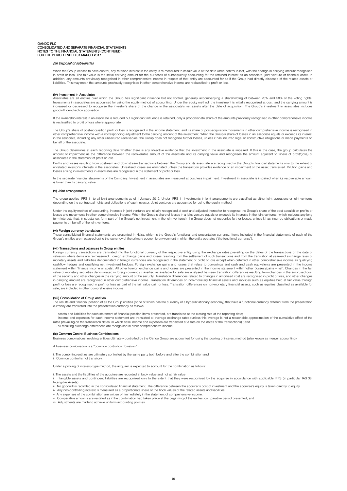#### (iii) Disposal of subsidiaries

When the Group ceases to have control, any retained interest in the entity is re-measured to its fair value at the date when control is lost, with the change in carrying amount recognised in profit or loss. The fair value is the initial carrying amount for the purposes of subsequently accounting for the retained interest as an associate, joint venture or financial asset. In<br>addition, any amounts previously liabilities. This may mean that amounts previously recognised in other comprehensive income are reclassified to profit or loss.

#### (iv) Investment in Associates

.<br>iates are all entities over which the Group has significant influence but not control, generally accompanying a shareholding of between 20% and 50% of the voting rights. Investments in associates are accounted for using the equity method of accounting. Under the equity method, the investment is initially recognised at cost, and the carrying amount is<br>increased or decreased to recognise the goodwill identified on acquisition.

If the ownership interest in an associate is reduced but significant influence is retained, only a proportionate share of the amounts previously recognised in other comprehensive income is reclassified to profit or loss where appropriate.

The Group's share of post-acquisition profit or loss is recognised in the income statement, and its share of post-acquisition movements in other comprehensive income is recognised ir<br>other comprehensive income with a corre in the associate, including any other unsecured receivables, the Group does not recognise further losses, unless it has incurred legal or constructive obligations or made payments on behalf of the associate.

The Group determines at each reporting date whether there is any objective evidence that the investment in the associate is impaired. If this is the case, the group calculates the<br>amount of impairment as the difference bet associates in the statement of profit or loss.

Profits and losses resulting from upstream and downstream transactions between the Group and its associate are recognised in the Group's financial statements only to the extent ol<br>unrelated investor's interests in the asso losses arising in investments in associates are recognised in the statement of profit or loss.

In the separate financial statements of the Company, Investment in associates are measured at cost less impairment. Investment in associate is impaired when its recoverable amount is lower than its carrying value.

#### (v) Joint arrangements

The group applies IFRS 11 to all joint arrangements as of 1 January 2012. Under IFRS 11 investments in joint arrangements are classified as either joint operations or joint ventures Figure 1, the contractual rights and obligations of each investor. Joint ventures are accounted for using the equity method.

Under the equity method of accounting, interests in joint ventures are initially recognised at cost and adjusted thereafter to recognise the Group's share of the post-acquisition profits or<br>Iosses and movements in other co term interests that, in substance, form part of the Group's net investment in the joint ventures), the Group does not recognise further losses, unless it has incurred obligations or made payments on behalf of the joint ventures

#### (vi) Foreign currency translation

The statements are presented in Naira, which is the Group's functional and presentation currency. Items included in the financial statements of each of the Group's entities are measured using the currency of the primary economic environment in which the entity operates ('the functional currency').

**(vii) Transactions and balances in Group entities**<br>Foreign currency transactions are translated into the functional currency of the respective entity using the exchange rates prevailing on the dates of the transactions or valuation where items are re-measured. Foreign exchange gains and losses resulting from the sattlement of such transactions and from the translation at year-end exchange rates ol<br>monetary assets and liabilities denominated cashflow hedges and qualifying net investment hedges. Foreign exchange gains and losses that relate to borrowings and cash and cash equivalents are presented in the income statement within 'finance income or costs'. All other foreign exchange gains and losses are presented in the income statement within 'other (losses)/gains – net'. Changes in the fair<br>value of monetary securities denominate of the security and other changes in the carrying amount of the security. Translation differences related to changes in amortised cost are recognised in profit or loss, and other changes in carrying amount are recognised in other comprehensive income. Translation differences on non-monetary financial assets and liabilities such as equities held at fair value through profit or loss are recognised in profit or loss as part of the fair value gain or loss. Translation differences on non-monetary financial assets, such as equities classified as available for sale, are included in other comprehensive income.

**(viii) Consolidation of Group entities**<br>The results and financial position of all the Group entities (none of which has the currency of a hyperinflationary economy) that have a functional currency different from the prese currency are translated into the presentation currency as follows:

assets and liabilities for each statement of financial position items presented, are translated at the closing rate at the reporting date;

- income and expenses for each income statement are translated at average exchange rates (unless this average is not a reasonable approximation of the cumulative effect of the rates prevailing on the transaction dates, in which case income and expenses are translated at a rate on the dates of the transactions) ; and<br>- all resulting exchange differences are recognised in other comprehensive incom

#### (ix) Common Control Business Combinations

Business combinations involving entities ultimately controlled by the Oando Group are accounted for using the pooling of interest method (also known as merger accounting).

A business combination is a 'common control combination' if:

i. The combining entities are ultimately controlled by the same party both before and after the combination and ii. Common control is not transitory.

- Under a pooling of interest- type method, the acquirer is expected to account for the combination as follows:
- 

i. The assets and the liabilities of the acquiree are recorded at book value and not at fair value<br>ii. Intangible assets and contingent liabilities are recognized only to the extent that they were recognized by the acquire Intangible Assets).

iii. No goodwill is recorded in the consolidated financial statement. The difference between the acquirer's cost of investment and the acquiree's equity is taken directly to equity.

- iv. Any non-controlling interest is measured as a proportionate share of the book values of the related assets and liabilities.
- v. Any expenses of the combination are written off immediately in the statement of comprehensive income.

vi. Comparative amounts are restated as if the combination had taken place at the beginning of the earliest comparative period presented; and

vii. Adjustments are made to achieve uniform accounting policies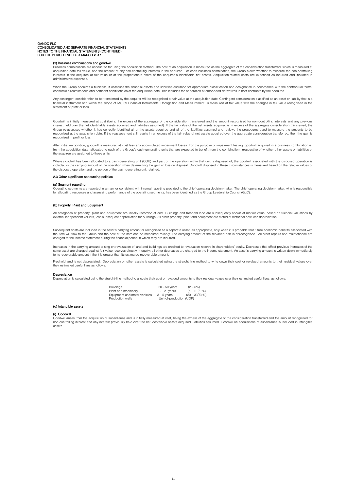#### (x) Business combinations and goodwill

Business combinations are accounted for using the acquisition method. The cost of an acquisition is measured as the aggregate of the consideration transferred, which is measured at -consistion date fair value, and the amount of any non-controlling interests in the acquiree. For each business combination, the Group elects whether to measure the non-controlling interests in the acquiree at fair value or at the proportionate share of the acquiree's identifiable net assets. Acquisition-related costs are expensed as incurred and included in administrative expenses.

When the Group acquires a business, it assesses the financial assets and liabilities assumed for appropriate classification and designation in accordance with the contractual terms, economic circumstances and pertinent conditions as at the acquisition date. This includes the separation of embedded derivatives in host contracts by the acquiree

Any contingent consideration to be transferred by the acquirer will be recognised at fair value at the acquisition date. Contingent consideration classified as an asset or liability that is a<br>financial instrument and withi

Goodwill is initially measured at cost (being the excess of the aggregate of the consideration transferred and the amount recognised for non-controlling interests and any previous interest held over the net identifiable assets acquired and liabilities assumed). If the fair value of the net assets acquired is in excess of the aggregate consideration transferred, the<br>Group re-assesses whether it has c recognised at the acquisition date. If the reassessment still results in an excess of the fair value of net assets acquired over the aggregate consideration transferred, then the gain is recognised in profit or loss.

After initial recognition, goodwill is measured at cost less any accumulated impairment toses. For the purpose of impairment testing, goodwill acquired in a business combination is,<br>from the acquisition date, allocated to the acquiree are assigned to those units.

Where goodwill has been allocated to a cash-generating unit (CGU) and part of the operation within that unit is disposed of, the goodwill associated with the disposed operation is<br>included in the carrying amount of the ope the disposed operation and the portion of the cash-generating unit retained.

#### 2.3 Other significant accounting polici

#### (a) Segment reporting

Operating segments are reported in a manner consistent with internal reporting provided to the chief operating decision-maker. The chief operating decision-maker, who is responsible for allocating resources and assessing performance of the operating segments, has been identified as the Group Leadership Council (GLC).

#### (b) Property, Plant and Equipment

All categories of property, plant and equipment are initially recorded at cost. Buildings and freehold land are subsequently shown at market value, based on triennial valuations by external independent valuers, less subsequent depreciation for buildings. All other property, plant and equipment are stated at historical cost less depreciation.

Subsequent costs are included in the asset's carrying amount or recognised as a separate asset, as appropriate, only when it is probable that future economic benefits associated with<br>the item will flow to the Group and the charged to the income statement during the financial period in which they are incurred.

Increases in the carrying amount arising on revaluation of land and buildings are credited to revaluation reserve in shareholders' equity. Decreases that offset previous increases of the<br>same asset are charged against fair to its recoverable amount if the it is greater than its estimated recoverable amount.

Freehold land is not depreciated. Depreciation on other assets is calculated using the straight line method to write down their cost or revalued amounts to their residual values over their estimated useful lives as follows:

#### Depreciation

-<br>Depreciation is calculated using the straight-line method to allocate their cost or revalued amounts to their residual values over their estimated useful lives, as follows:

| <b>Buildings</b>             | $20 - 50$ years          | $(2 - 5\%)$          |
|------------------------------|--------------------------|----------------------|
| Plant and machinery          | $8 - 20$ years           | $(5 - 12^{1}/2%)$    |
| Equipment and motor vehicles | $3 - 5$ vears            | $(20 - 33^{1}/3 \%)$ |
| Production wells             | Unit-of-production (UOP) |                      |

#### (c) Intangible assets

#### (i) Goodwill

Goodwill arises from the acquisition of subsidiaries and is initially measured at cost, being the excess of the aggregate of the consideration transferred and the amount recognized for non-controlling interest and any interest previously held over the net identifiable assets acquired, liabilities assumed. Goodwill on acquisitions of subsidiaries is included in intangible assets.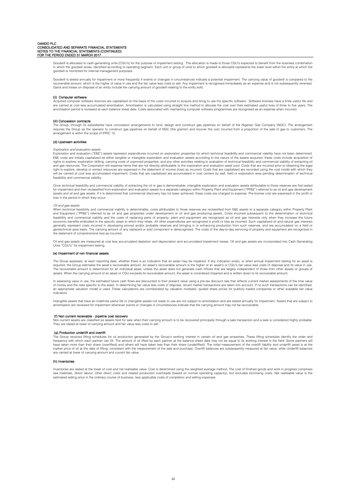Goodwill is allocated to cash-generating units (CGU's) for the purpose of impairment testing. The allocation is made to those CGU's expected to benefit from the business combinatior<br>in which the goodwill arose, identified goodwill is monitored for internal management purposes.

Goodwill is tested annually for impairment or more frequently if events or changes in circumstances indicate a potential impairment. The carrying value of goodwill is compared to the<br>recoverable amount, which is the higher Gains and losses on disposal of an entity include the carrying amount of goodwill relating to the entity sold.

#### (ii) Computer software

Acquired computer software licences are capitalised on the basis of the costs incurred to acquire and bring to use the specific software. Software licenses have a finite useful life anc<br>are carried at cost less accumulated amortisation period is reviewed at each balance sheet date. Costs associated with maintaining computer software programmes are recognised as an expense when incurred.

#### (iii) Concession contracts

The Group, through its subsidiaries have concession arrangements to fund, design and construct gas pipelines on behalf of the Nigerian Gas Company (NGC). The arrangement requires the Group as the operator to construct gas pipelines on behalf of NGC (the grantor) and recover the cost incurred from a proportion of the sale of gas to customers. The arrangement is within the scope of IFRIC 12.

#### (d) Upstream activities

#### Exploration and evaluation assets

Exploration and evaluation ('E&E') assets represent expenditures incurred on exploration properties for which technical feasibility and commercial viability have not been determined. E&E costs are initially capitalized as either tangible or intangible exploration and evaluation assets according to the nature of the assets acquired, these costs include acquisition of rights to explore, exploration drilling, carrying costs of unproved properties, and any other activities relating to evaluation of technical feasibility and commercial viability of extracting oi<br>and gas resources. The Corp right to explore, develop or extract resources are expensed in the statement of income (loss) as incurred. Costs that are capitalized are recorded using the cost model with which they<br>will be carried at cost less accumulat feasibility and commercial viability.

Once technical feasibility and commercial viability of extracting the oil or gas is demonstrable, intangible exploration and evaluation assets attributable to those reserves are first tested for impairment and then reclassified from exploration and evaluation assets to a separate category within Property Plant and Equipment ("PP&E") referred to as oil and gas development<br>assets and oil and gas assets. If it is loss in the period in which they occur

#### Oil and gas assets

When technical feasibility and commercial viability is determinable, costs attributable to those reserves are reclassified from E&E assets to a separate category within Property Plant and Equipment ("PP&E") referred to as oil and gas properties under development or oil and gas producing assets. Costs incurred subsequent to the determination of technica<br>feasibility and commercial viability and the costs generally represent costs incurred in developing proved and/or probable reserves and bringing in or enhancing production from such reserves, and are accumulated on a field or<br>geotechnical area basis. The carrying amount of the statement of comprehensive loss as incurred.

Oil and gas assets are measured at cost less accumulated depletion and depreciation and accumulated impairment losses. Oil and gas assets are incorporated into Cash Generating Units "CGU's" for impairment testing.

#### (e) Impairment of non financial assets

The Group assesses, at each reporting date, whether there is an indication that an asset may be impaired. If any indication exists, or when annual impairment testing for an asset is required, the Group estimates the asset's recoverable amount. An asset's recoverable amount is the higher of an asset's or CGU's fair value less costs of disposal and its value in use. The recoverable amount is determined for an individual asset, unless the asset does not generate cash inflows that are largely independent of those from other assets or groups of assets. When the carrying amount of an asset or CGU exceeds its recoverable amount, the asset is considered impaired and is written down to its recoverable amount.

In assessing value in use, the estimated future cash flows are discounted to their present value using a pre-tax discount rate that reflects current market assessments of the time value of money and the risks specific to the asset. In determining fair value less costs of disposal, recent market transactions are taken into account. If no such transactions can be identified, an appropriate valuation model is used. These calculations are corroborated by valuation multiples, quoted share prices for publicly traded companies or other available fair value indicators.

Intangible assets that have an indefinite useful life or intangible assets not ready to use are not subject to amortisation and are tested annually for impairment. Assets that are subject to amortisation are reviewed for impairment whenever events or changes in circumstances indicate that the carrying amount may not be recoverable.

#### (f) Non current receivable - pipeline cost recovery

Non-current assets are classified as assets held for sale when their carrying amount is to be recovered principally through a sale transaction and a sale is considered highly probable.<br>They are stated at lower of carrying

#### (g) Production underlift and overlift

The Group receives lifting schedules for oil production generated by the Group's working interest in certain oil and gas properties. These lifting schedules identify the order anc<br>frequency with which each partner can lift have taken more than their share (overlifted) and others will have taken less than their share (underlifted). The initial measurement of the overlift liability and underlift asset is at the<br>market price of oil at the date are carried at lower of carrying amount and current fair value.

#### (h) Inventories

Inventories are stated at the lower of cost and net realisable value. Cost is determined using the weighted average method. The cost of finished goods and work in progress comprises<br>raw materials, direct labour, other dire estimated selling price in the ordinary course of business, less applicable costs of completion and selling expenses.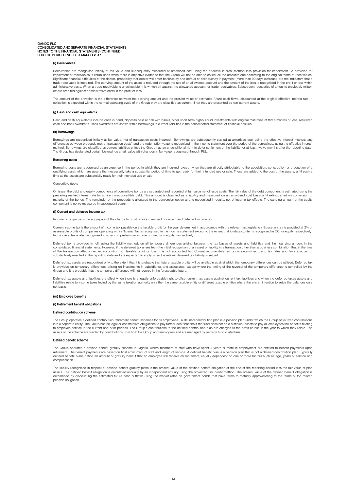#### (i) Receivables

Receivables are recognised initially at fair value and subsequently measured at amortised cost using the effective interest method less provision for impairment. A provision for impairment of receivables is established when there is objective evidence that the Group will not be able to collect all the amounts due according to the original terms of receivables.<br>Significant financial difficulties of trade receivable is impaired. The carrying amount of the asset is reduced through the use of an allowance account and the amount of the loss is recognised in the profit or loss withir<br>administrative costs. When a trade rec off are credited against administrative costs in the profit or loss.

The amount of the provision is the difference between the carrying amount and the present value of estimated future cash flows, discounted at the original effective interest rate. It<br>collection is expected within the norma

#### (j) Cash and cash equivalents

Cash and cash equivalents include cash in hand, deposits held at call with banks, other short term highly liquid investments with original maturities of three months or less, restricted cash and bank overdrafts. Bank overdrafts are shown within borrowings in current liabilities in the consolidated statement of financial position.

#### (k) Borrowings

Borrowings are recognised initially at fair value, net of transaction costs incurred. Borrowings are subsequently carried at amortised cost using the effective interest method; any differences between proceeds (net of transaction costs) and the redemption value is recognised in the income statement over the period of the borrowings, using the effective interest<br>method. Borrowings are classified as cu The Group has designated certain borrowings at fair value with changes in fair value recognised through P&L.

#### Borrowing costs

Borrowing costs are recognised as an expense in the period in which they are incurred, except when they are directly attributable to the acquisition, construction or production of a qualifying asset, which are assets that necessarily take a substantial period of time to get ready for their intended use or sale. These are added to the cost of the assets, until such a qualitying asset, which are assets that hecessarily take a substantial p<br>time as the assets are substantially ready for their intended use or sale.

#### Convertible debts

On issue, the debt and equity components of convertible bonds are separated and recorded at fair value net of issue costs. The fair value of the debt component is estimated using the prevailing market interest rate for similar non-convertible debt. This amount is classified as a liability and measured on an amortised cost basis until extinguished on conversion or .<br>maturity of the bonds. The remainder of the proceeds is allocated to the conversion option and is recognised in equity, net of income tax effects. The carrying amount of the equity component is not re-measured in subsequent years.

#### (l) Current and deferred income tax

Income tax expense is the aggregate of the charge to profit or loss in respect of current and deferred income tax.

Current income tax is the amount of income tax payable on the taxable profit for the year determined in accordance with the relevant tax legislation. Education tax is provided at 2% of assessable profits of companies operating within Nigeria. Tax is recognised in the income statement except to the extent that it relates to items recognised in OCI or equity respectively In this case, tax is also recognised in other comprehensive income or directly in equity, respectively.

Deferred tax is provided in full, using the liability method, on all temporary differences arising between the tax bases of assets and liabilities and their carrying amount in the<br>consolidated financial statements. However of the transaction affects neither accounting nor taxable profit or loss, it is not accounted for. Current income deferred tax is determined using tax rates and laws enacted or<br>substantively enacted at the reporting date a

Deferred tax assets are recognised only to the extent that it is probable that future taxable profits will be available against which the temporary differences can be utilised. Deferred tax is provided on temporary differences arising on investments in subsidiaries and associates, except where the timing of the reversal of the temporary difference is controlled by the Group and it is probable that the temporary difference will not reverse in the foreseeable future.

Deferred tax assets and liabilities are offset when there is a legally enforceable right to offset current tax assets against current tax liabilities and when the deferred taxes assets and liabilities relate to income taxes levied by the same taxation authority on either the same taxable entity or different taxable entities where there is an intention to settle the balances on a net basi

#### (m) Employee benefits

#### (i) Retirement benefit obligations

#### Defined contribution scheme

The Group operates a defined contribution retirement benefit schemes for its employees. A defined contribution plan is a pension plan under which the Group pays fixed contributions<br>into a separate entity. The Group has no to employee service in the current and prior periods. The Group's contributions to the defined contribution plan are charged to the profit or loss in the year to which they relate. The assets of the scheme are funded by contributions from both the Group and employees and are managed by pension fund custodians.

#### Defined benefit scheme

The Group operates a defined benefit gratuity scheme in Nigeria, where members of staff who have spent 3 years or more in employment are entitled to benefit payments upor<br>retirement. The benefit payments are based on final defined benefit plans define an amount of gratuity benefit that an employee will receive on retirement, usually dependent on one or more factors such as age, years of service and compensation.

The liability recognised in respect of defined benefit gratuity plans is the present value of the defined benefit obligation at the end of the reporting period less the fair value of plan assets. The defined benefit obligation is calculated annually by an independent actuary using the projected unit credit method. The present value of the defined benefit obligation is determined by discounting the estimated future cash outflows using the market rates on government bonds that have terms to maturity approximating to the terms of the related pension obligation.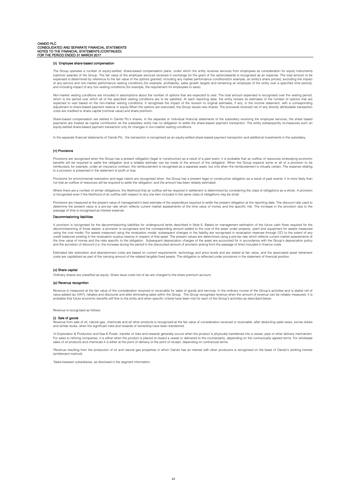#### (ii) Employee share-based compensation

The Group operates a number of equity-settled, share-based compensation plans, under which the entity receives services from employees as consideration for equity instruments (options/ awards) of the Group. The fair value of the employee services received in exchange for the grant of the option/awards is recognised as an expense. The total amount to be expensed is determined by reference to the fair value of the options granted, including any market performance conditions(for example, an entity's share prices); excluding the impact of any service and non-market performance vesting conditions (for example, profitability, sales growth targets and remaining an employee of the entity over a specified time period); and including impact of any non-vesting conditions (for example, the requirement for employees to save).

Non-market vesting conditions are included in assumptions about the number of options that are expected to vest. The total amount expensed is recognised over the vesting period, which is the period over which all of the specified vesting conditions are to be satisfied. At each reporting date, the entity revises its estimates of the number of options that are<br>expected to vest based on the non-marke adjustment to share-based payment reserve in equity.When the options are exercised, the Group issues new shares. The proceeds received net of any directly attributable transaction costs are credited to share capital (nominal value) and share premium.

Share-based compensation are settled in Oando Plc's shares, in the separate or individual financial statements of the subsidiary receiving the employee services, the share basec<br>payments are treated as capital contribution equity-settled share-based payment transaction only for changes in non-market vesting conditions.

In the separate financial statements of Oando Plc., the transaction is recognised as an equity-settled share-based payment transaction and additional investments in the subsidiary.

#### (n) Provisions

Provisions are recognised when the Group has a present obligation (legal or constructive) as a result of a past event, it is probable that an outflow of resources embodying economic benefits will be required to settle the obligation and a reliable estimate can be made of the amount of the obligation. When the Group expects some or all of a provision to be reimbursed, for example, under an insurance contract, the reimbursement is recognised as a separate asset, but only when the reimbursement is virtually certain. The expense relating to a provision is presented in the statement of profit or loss.

Provisions for environmental restoration and legal claims are recognised when: the Group has a present legal or constructive obligation as a result of past events; it is more likely than not that an outflow of resources will be required to settle the obligation; and the amount has been reliably estimated.

Where there are a number of similar obligations, the likelihood that an outflow will be required in settlement is determined by considering the class of obligations as a whole. A provision is recognised even if the likelihood of an outflow with respect to any one item included in the same class of obligations may be small.

Provisions are measured at the present value of management's best estimate of the expenditure required to settle the present obligation at the reporting date. The discount rate used to<br>determine the present value is a prepassage of time is recognised as interest expense.

#### Decommissioning liabilities

A provision is recognised for the decommissioning liabilities for underground tanks described in Note 6. Based on management estimation of the future cash flows required for the decommissioning of those assets, a provision is recognised and the corresponding amount added to the cost of the asset under property, plant and equipment for assets measurec<br>using the cost model. For assets measured using credit balances existing in the revaluation surplus reserve in respect of that asset. The present values are determined using a pre-tax rate which reflects current market assessments ol<br>the time value of money and the risk and the accretion of discount (i.e. the increase during the period in the discounted amount of provision arising from the passage of time) included in finance costs.

Estimated site restoration and abandonment costs are based on current requirements, technology and price levels and are stated at fair value, and the associated asset retirement costs are capitalized as part of the carrying amount of the related tangible fixed assets. The obligation is reflected under provisions in the statement of financial position.

#### (o) Share capital

Ordinary shares are classified as equity. Share issue costs net of tax are charged to the share premium account.

### (p) Revenue recognition

Revenue is measured at the fair value of the consideration received or receivable for sales of goods and services, in the ordinary course of the Group's activities and is stated net of value-added tax (VAT), rebates and discounts and after eliminating sales within the Group. The Group recognises revenue when the amount of revenue can be reliably measured, it is probable that future economic benefits will flow to the entity and when specific criteria have been met for each of the Group's activities as described below:

Revenue is recognised as follows:

#### (i) Sale of goods

Revenue from sale of oil, natural gas, chemicals and all other products is recognized at the fair value of consideration received or receivable, after deducting sales taxes, excise duties<br>and similar levies, when the signi

'In Exploration & Production and Gas & Power, transfer of risks and rewards generally occurs when the product is physically transferred into a vessel, pipe or other delivery mechanism. For sales to refining companies, it is either when the product is placed on-board a vessel or delivered to the counterparty, depending on the contractually agreed terms. For wholesale<br>sales of oil products and chemicals it

'Revenue resulting from the production of oil and natural gas properties in which Oando has an interest with other producers is recognised on the basis of Oando's working interest (entitlement method).

'Sales between subsidiaries, as disclosed in the segment information.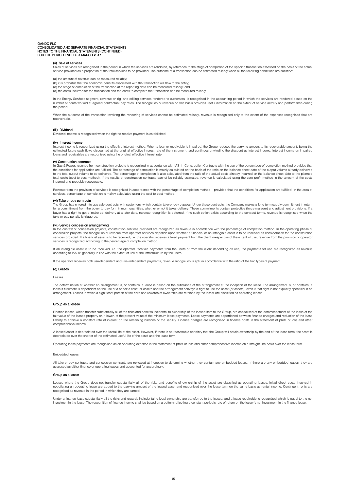#### (ii) Sale of services

Sales of services are recognised in the period in which the services are rendered, by reference to the stage of completion of the specific transaction assessed on the basis of the actual service provided as a proportion of the total services to be provided. The outcome of a transaction can be estimated reliably when all the following conditions are satisfied

(a) the amount of revenue can be measured reliably;

 $\overrightarrow{b}$ ) it is probable that the economic benefits associated with the transaction will flow to the entity;

(c) the stage of completion of the transaction at the reporting date can be measured reliably; and (d) the costs incurred for the transaction and the costs to complete the transaction can be measured reliably.

In the Energy Services segment, revenue on rig and drilling services rendered to customers is recognised in the accounting period in which the services are rendered based on the<br>number of hours worked at agreed contractual the period.

When the outcome of the transaction involving the rendering of services cannot be estimated reliably, revenue is recognised only to the extent of the expenses recognised that are recoverable.

#### (iii) Dividend

,<br>vidend income is recognised when the right to receive payment is established.

#### (iv) Interest income

Interest income is recognized using the effective interest method. When a loan or receivable is impaired, the Group reduces the carrying amount to its recoverable amount, being the estimated future cash flows discounted at the original effective interest rate of the instrument, and continues unwinding the discount as interest income. Interest income on impaired loans and receivables are recognised using the original effective interest rate.

#### (v) Construction contracts

In Gas & Power, revenue from construction projects is recognized in accordance with IAS 11 Construction Contracts with the use of the percentage-of-completion method provided that the conditions for application are fulfilled. The percentage of completion is mainly calculated on the basis of the ratio on the balance sheet date of the output volume already deliverec<br>to the total output volume to be de total costs (cost-to-cost method). If the results of construction contracts cannot be reliably estimated, revenue is calculated using the zero profit method in the amount of the costs incurred and probably recoverable.

Revenue from the provision of services is recognized in accordance with the percentage of completion method - provided that the conditions for application are fulfilled. In the area of services, percentage of completion is mainly calculated using the cost-to-cost method.

#### (vi) Take or pay contracts

The Group has entered into gas sale contracts with customers, which contain take-or-pay clauses. Under these contracts, the Company makes a long term supply commitment in return for a commitment from the buyer to pay for minimum quantities, whether or not it takes delivery. These commitments contain protective (force majeure) and adjustment provisions. If a<br>buyer has a right to get a 'make up' del take-or-pay penalty is triggered.

#### (vii) Service concession arrangements

In the context of concession projects, construction services provided are recognized as revenue in accordance with the percentage of completion method. In the operating phase of concession projects, the recognition of revenue from operator services depends upon whether a financial or an intangible asset is to be received as consideration for the construction services provided. If a financial asset is to be received, i.e. the operator receives a fixed payment from the client irrespective of the extent of use, revenue from the provision of operator services is recognized according to the percentage of completion method.

If an intangible asset is to be received, i.e. the operator receives payments from the users or from the client depending on use, the payments for use are recognized as revenue according to IAS 18 generally in line with the extent of use of the infrastructure by the users.

If the operator receives both use-dependent and use-independent payments, revenue recognition is split in accordance with the ratio of the two types of payment.

#### (q) Leases

Leases

The determination of whether an arrangement is, or contains, a lease is based on the substance of the arrangement at the inception of the lease. The arrangement is, or contains, a lease if fulfilment is dependent on the use of a specific asset or assets and the arrangement conveys a right to use the asset (or assets), even if that right is not explicitly specified in ar<br>arrangement. Leases in which

#### Group as a lessee

Finance leases, which transfer substantially all of the risks and benefits incidental to ownership of the leased item to the Group, are capitalised at the commencement of the lease at the r manos catoo, when substantially an or the minimum lease payments. Lease payments are apportioned between finance charges and reduction of the lease and reduction of the lease in a conservative of the lease payments are a liability to achieve a constant rate of interest on the remaining balance of the liability. Finance charges are recognised in finance costs in the statement of profit or loss and other comprehensive income.

A leased asset is depreciated over the useful life of the asset. However, if there is no reasonable certainty that the Group will obtain ownership by the end of the lease term, the asset is<br>depreciated over the shorter of

Operating lease payments are recognised as an operating expense in the statement of profit or loss and other comprehensive income on a straight line basis over the lease term.

#### Embedded leases

All take-or-pay contracts and concession contracts are reviewed at inception to determine whether they contain any embedded leases. If there are any embedded leases, they are assessed as either finance or operating leases and accounted for accordingly.

#### Group as a lesso

Leases where the Group does not transfer substantially all of the risks and benefits of ownership of the asset are classified as operating leases. Initial direct costs incurred ir<br>negotiating an operating lease are added t recognised as revenue in the period in which they are earned.

Under a finance lease substantially all the risks and rewards incindental to legal ownership are transferred to the lessee, and a lease receivable is recognized which is equal to the net investmen in the lease. The recognition of finance income shall be based on a pattern reflecting a constant periodic rate of return on the lessor's net investment in the finance lease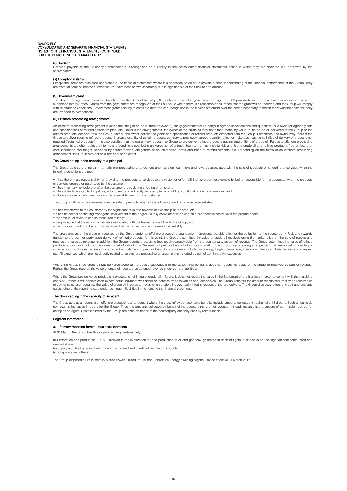#### (r) Dividend

Dividend payable to the Company's shareholders is recognised as a liability in the consolidated financial statements period in which they are declared (i.e. approved by the shareholders).

#### (s) Exceptional items

Exceptional items are disclosed separately in the financial statements where it is necessary to do so to provide further understanding of the financial performance of the Group. They<br>are material items of income or expense

#### (t) Government grant

The Group, through its subsidiaries, benefits from the Bank of Industry (BOI) Scheme where the government through the BOI provide finance to companies in certain industries at subsidised interest rates. Grants from the government are recognised at their fair value where there is a reasonable assurance that the grant will be received and the Group will comply<br>with all attached conditions. Governm are intended to compensate.

#### (u) Offshore processing arrangements

An offshore processing arrangement involves the lifting of crude oil from an owner (usually government/third party) in agreed specifications and quantities for a swap for agreed yields and specifications of refined petroleum products. Under such arrangements, the owner of the crude oil may not attach monetary value to the crude oil delivered to the Group or the<br>refined products received from the Group. R required ("retained products"). It is also possible that the owner may request the Group to pre-deliver refined products against future lifting of crude oil. Parties to offshore processing<br>arrangements are often guided by cost, insurance and freight deliveries by counterparties, obligations of counterparties, costs and basis of reimbursements, etc. Depending on the terms of an offshore processing arrangement, the Group may act as a principal or an agent.

#### The Group acting in the capacity of a principal

The Group acts as a principal in an offshore processing arrangement and has significant risks and rewards associated with the sale of products or rendering of services when the following conditions are met:

• it has the primary responsibility for providing the products or services to the customer or for fulfilling the order, for example by being responsible for the acceptability of the products<br>or services ordered or purchase

 $\bullet$  it has inventory risk before or after the customer order, during shipping or on return;

" it has latitude in establishing prices, either directly or indirectly, for example by providing additional products or services; and • it bears the customer's credit risk on the receivable due from the customer.

The Group shall recognise revenue from the sale of products when all the following conditions have been satisfied:

" it has transferred to the counterparty the significant risks and rewards of ownership of the products;

" it retains neither continuing managerial involvement to the degree usually associated with ownership nor effective control over the products sold;

. the amount of revenue can be measured reliably:

" it is probable that the economic benefits associated with the transaction will flow to the Group; and

. the costs incurred or to be incurred in respect of the transaction can be measured reliably

The gross amount of the crude oil received by the Group under an offshore processing arrangement represents consideration for the obligation to the counterparty. Risk and rewards<br>transfer to the counter party upon delivery records the value as revenue. In addition, the Group records processing fees received/receivable from the counterparty as part of revenue. The Group determines the value of refinec<br>products at cost and includes the value i included in cost of sales, where applicable, in the Statement of profit or loss. Such costs may include processing, freight, demurrage, insurance, directly attributable fees and charges, etc. All expenses, which are not directly related to an offshore processing arrangement is included as part of administrative expenses.

Where the Group lifted crude oil but delivered petroleum products subsequent to the accounting period, it does not record the value of the crude oil received as part of revenue.<br>Rather, the Group records the value of crude

Where the Group pre-delivered products in expectation of lifting of crude oil in future, it does not record the value in the Statement of profit or loss in order to comply with the matching concept. Rather, it will deplete cash (where actual payment was done) or increase trade payables and receivables. The Group transfers the amount recognised from trade receivables<br>to cost of sales and recognise the value of outstanding at the reporting date under contingent liabilities in the notes to the financial statements.

#### The Group acting in the capacity of an agent

The Group acts as an agent in an offshore processing arrangement where the gross inflows of economic benefits include amounts collected on behalf of a third party. Such amounts do not result in increases in equity for the Group. Thus, the amounts collected on behalf of the counterparty are not revenue. Instead, revenue is the amount of commission earned for acting as an agent. Costs incurred by the Group are done on behalf of the counterparty and they are fully reimbursable.

#### 3. Segment information

#### 3.1 Primary reporting format - business segments

At 31 March, the Group has three operating segments namely:

(i) Exploration and production (E&P) - involved in the exploration for and production of oil and gas through the acquisition of rights in oil blocks on the Nigerian continental shelf and deep offshore.

(ii) Supply and Trading  $-$  involved in trading of refined and unrefined petroleum products. (iii) Corporate and others

The Group disposed all its interest in Alausa Power Limited to Elektron Pertroleum Energy & Mining Nigeria Limited effective 31 March 2017.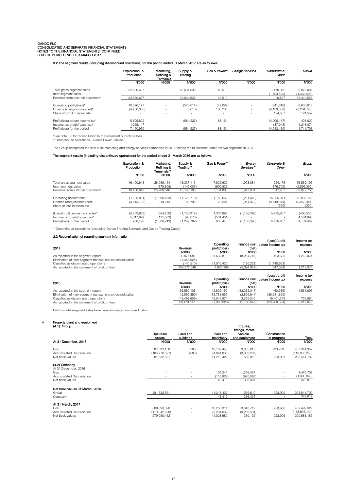3.2 The segment results (including discontinued operations) for the period ended 31 March 2017 are as follows:

|                                  | Exploration &<br>Production | Marketing,<br>Refining &<br>Terminals | Supply &<br>Trading | Gas & Power**            | <b>Energy Services</b>   | Corporate &<br>Other | Group         |
|----------------------------------|-----------------------------|---------------------------------------|---------------------|--------------------------|--------------------------|----------------------|---------------|
|                                  | N'000                       | N'000                                 | N'000               | N'000                    | <b>N'000</b>             | N'000                | <b>N'000</b>  |
| Total gross segment sales        | 22.630.687                  | $\sim$                                | 115,634,532         | 140.510                  |                          | 1.470.352            | 139.876.081   |
| Inter-seament sales              | ٠                           | $\overline{\phantom{a}}$              |                     | $\overline{\phantom{a}}$ | $\overline{\phantom{a}}$ | (1,463,525)          | (1,463,525)   |
| Revenue from external customers* | 22.630.687                  | $\,$                                  | 115.634.532         | 140.510                  |                          | 6.827                | 138.412.556   |
| Operating profit/(loss)*         | 10.096.127                  | $\overline{\phantom{a}}$              | (578.611)           | (42.082)                 | ٠                        | (841.616)            | 8.633.818     |
| Finance (cost)/income (net)*     | (4, 200, 305)               | $\overline{\phantom{a}}$              | (5,616)             | 130.233                  |                          | (4, 189, 058)        | (8, 264, 746) |
| Share of profit in associate     |                             | $\overline{\phantom{a}}$              |                     |                          |                          | 124.557              | 124,557       |
| Profit/(loss) before income tax* | 5.895.822                   | $\overline{\phantom{a}}$              | (584.227)           | 88.151                   | ٠                        | (4.906.117)          | 493.629       |
| Income tax credit/(expense)*     | .255.117                    | $\overline{\phantom{a}}$              |                     |                          | ۰                        | (37.043)             | 1,218,074     |
| Profit/(loss) for the period     | 7.150.939                   |                                       | (584.227)           | 88.151                   |                          | (4.943.160)          | 1.711.703     |

\*See note 3.3 for reconciliation to the statement of profit or loss \*\*Discontinued operations - Alausa Power Limited

The Group completed the sale of its marketing and energy services companies in 2016, hence the nil balance under the two segments in 2017.

#### The segment results (including discontinued operations) for the period ended 31 March 2016 are as follows:

|                                  | <b>Exploration &amp;</b><br>Production | Marketing.<br>Refining &<br>Terminals** | Supply &<br>Trading** | Gas & Power**            | Energy<br>Services** | Corporate &<br>Other | Group          |
|----------------------------------|----------------------------------------|-----------------------------------------|-----------------------|--------------------------|----------------------|----------------------|----------------|
|                                  | N'000                                  | <b>N'000</b>                            | N'000                 | N'000                    | <b>N'000</b>         |                      | <b>N'000</b>   |
| Total gross segment sales        | 16.400.648                             | 26.088.454                              | 13.337.115            | 7.825.629                | 1.993.084            | 924.176              | 66.569.106     |
| Inter-seament sales              |                                        | (879.808)                               | (149.007)             | (690.826)                |                      | (876.709)            | (2,596,350)    |
| Revenue from external customers* | 16.400.648                             | 25,208,646                              | 13.188.108            | 7.134.803                | .993.084             | 47.467               | 63.972.756     |
| Operating (loss)/profit*         | (1.195.891)                            | (1.098.463)                             | (1.176.710)           | 1.158.669                | (221.423)            | 15.335.971           | 12.802.153     |
| Finance (cost)/income (net)*     | (3, 213, 792)                          | 214.213                                 | 22.798                | 179.227                  | (914, 973)           | (9,549,814)          | (13, 262, 341) |
| Share of loss in associate       | ٠                                      | $\overline{\phantom{a}}$                |                       | $\overline{\phantom{a}}$ |                      | (350)                | (350)          |
| (Loss)/profit before income tax* | (4,409,683)                            | (884, 250)                              | (1, 153, 912)         | 1.337.896                | (1, 136, 396)        | 5.785.807            | (460, 538)     |
| Income tax credit/(expense)*     | 5.317.879                              | (125.663)                               | (95.870)              | (534.451)                |                      |                      | 4,561,895      |
| Profit/(loss) for the period     | 908.196                                | (1.009.913)                             | (1.249.782)           | 803.445                  | (1.136.396)          | 5.785.807            | 4.101.357      |

\*\*Discontinued operations (excluding Oando Trading Bermuda and Oando Trading Dubai)

### 3.3 Reconciliation of reporting segment information

| 3.3 Reconciliation of reporting segment information        |              |                            |               |                                                 |                       |
|------------------------------------------------------------|--------------|----------------------------|---------------|-------------------------------------------------|-----------------------|
| 2017                                                       | Revenue      | Operating<br>profit/(loss) | (not)         | (Loss)/profit<br>Finance cost before income tax | Income tax<br>expense |
|                                                            | <b>N'000</b> | N'000                      | N'000         | <b>N'000</b>                                    | N'000                 |
| As reported in the segment report                          | 139.876.081  | 8.633.818                  | (8, 264, 746) | 493.629                                         | 1.218.074             |
| Elimination of inter-segment transactions on consolidation | (1.463.525)  |                            |               |                                                 |                       |
| Classfied as discontinued operations                       | (140.510)    | (1.010.430)                | (130.233)     | (1, 140, 663)                                   |                       |
| As reported in the statement of profit or loss             | 138.272.046  | 7.623.388                  | (8.394.979)   | (647, 034)                                      | 1.218.074             |
|                                                            |              |                            |               | (Loss)/profit                                   | Income tax            |
| 2016                                                       | Revenue      | Operating<br>profit/(loss) | (not)         | Finance cost before income tax                  | expense               |
|                                                            | <b>N'000</b> | <b>N'000</b>               | N'000         | <b>N'000</b>                                    | <b>N'000</b>          |
| As reported in the seament report                          | 66.569.106   | 12.802.152                 | (13.262.341)  | (460, 539)                                      | 4,561,895             |
| Elimination of inter-segment transactions on consolidation | (2,596,350)  | (35, 781, 955)             | (2,859,644)   | (38,641,600)                                    |                       |
| Classfied as discontinued operations                       | (43.493.609) | 15.045.974                 | 3.355.340     | 18,401,315                                      | 755,984               |
| As reported in the statement of profit or loss             | 20.479.147   | (7.933.829)                | (12.766.645)  | (20.700.824)                                    | 5.317.879             |
|                                                            |              |                            |               |                                                 |                       |

Profit on inter-segment sales have been eliminated on consolidation.

### 4 Property plant and equipment (4.1) Group Fixtures,

| $1 - 1$ and $-1$                      | Upstream<br>Assets       | Land and<br>buildings    | Plant and<br>machinery | .<br>fittings, motor<br>vehicle<br>and equipment | Construction<br>in progress | Total           |
|---------------------------------------|--------------------------|--------------------------|------------------------|--------------------------------------------------|-----------------------------|-----------------|
| At 31 December, 2016                  | N'000                    | <b>N'000</b>             | N'000                  | <b>N'000</b>                                     | <b>N'000</b>                | <b>N'000</b>    |
| Cost                                  | 387.303.188              | 380                      | 16, 162, 458           | 3,655,017                                        | 223,909                     | 407,344,952     |
| Accumulated Depreciation              | (105.770.627)            | (380)                    | (4.944.036)            | (3,088,207)                                      |                             | (113,803,250)   |
| Net book values                       | 281,532,561              | $\sim$                   | 11,218,422             | 566,810                                          | 223,909                     | 293,541,702     |
| (4.2) Company<br>At 31 December, 2016 |                          |                          |                        |                                                  |                             |                 |
| Cost                                  | $\overline{\phantom{a}}$ | ٠                        | 154,241                | 1,316,467                                        |                             | 1,470,708       |
| Accumulated Depreciation              |                          | ۰.                       | (110.829)              | (980.060)                                        | $\overline{\phantom{a}}$    | (1,090,889)     |
| Net book values                       | $\sim$                   | $\overline{\phantom{a}}$ | 43,412                 | 336,407                                          | $\overline{\phantom{a}}$    | 379.819         |
| Net book values 31 March, 2016        |                          |                          |                        |                                                  |                             |                 |
| Group                                 | 281,532,561              | ٠                        | 11,218,422             | 566,810                                          | 223,909                     | 293,541,702     |
| Company                               |                          | ٠                        | 43.412                 | 336,407                                          |                             | 379.819         |
| At 31 March, 2017                     |                          |                          |                        |                                                  |                             |                 |
| Cost                                  | 389.393.390              |                          | 16,233,314             | 3,648,719                                        | 223,906                     | 409,499,329     |
| Accumulated Depreciation              | (110,342,928)            | ٠                        | (5,204,632)            | (3,268,584)                                      | $\overline{\phantom{a}}$    | (118, 816, 144) |
| Net book values                       | 279,050,462              | ۰.                       | 11,028,682             | 380.135                                          | 223,906                     | 290,683,185     |
|                                       |                          |                          |                        |                                                  |                             |                 |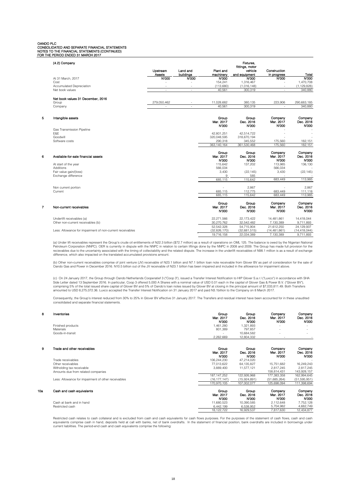|   | (4.2) Company                                             | Upstream<br>Assets | Land and<br>buildings | Plant and                   | Fixtures.<br>fittings, motor<br>vehicle<br>and equipment | Construction                  | Total                                |
|---|-----------------------------------------------------------|--------------------|-----------------------|-----------------------------|----------------------------------------------------------|-------------------------------|--------------------------------------|
|   | At 31 March, 2017                                         | N'000              | N'000                 | machinery<br>N'000          | N'000                                                    | in progress<br>N'000          | <b>N'000</b>                         |
|   | Cost                                                      |                    |                       | 154,241                     | 1,316,467                                                |                               | 1,470,708                            |
|   | Accumulated Depreciation                                  | $\sim$             | ٠                     | (113,680)                   | (1,016,148)                                              |                               | (1, 129, 828)                        |
|   | Net book values                                           | ÷                  | ÷                     | 40,561                      | 300,319                                                  | $\sim$                        | 340.880                              |
|   | Net book values 31 December, 2016                         |                    |                       |                             |                                                          |                               |                                      |
|   | Group                                                     | 279.050.462        |                       | 11.028.682                  | 380, 135                                                 | 223.906                       | 290.683.185                          |
|   | Company                                                   | $\sim$             | $\sim$                | 40,561                      | 300,319                                                  | $\sim$                        | 340,880                              |
| 5 | Intangible assets                                         |                    |                       | Group<br>Mar. 2017<br>N'000 | Group<br>Dec. 2016<br>N'000                              | Company<br>Mar. 2017<br>N'000 | Company<br>Dec. 2016<br>N'000        |
|   | Gas Transmission Pipeline                                 |                    |                       |                             |                                                          |                               |                                      |
|   | F&F                                                       |                    |                       | 42,801,251                  | 42,514,722                                               |                               |                                      |
|   | Goodwill                                                  |                    |                       | 320,048,595                 | 318,670,194                                              |                               |                                      |
|   | Software costs                                            |                    |                       | 290,318                     | 345.552                                                  | 175,560                       | 182, 151                             |
|   |                                                           |                    |                       | 363.140.164                 | 361.530.468                                              | 175.560                       | 182.151                              |
| 6 | Available-for-sale financial assets                       |                    |                       | Group<br>Mar. 2017<br>N'000 | Group<br>Dec. 2016<br>N'000                              | Company<br>Mar. 2017<br>N'000 | Company<br>Dec. 2016<br>N'000        |
|   | At start of the year                                      |                    |                       | 115.642                     | 137,202                                                  | 113,985                       | 136,130                              |
|   | <b>Additions</b>                                          |                    |                       | 566,034                     | ÷,                                                       | 566,034                       |                                      |
|   | Fair value gain/(loss)<br>Exchange difference             |                    |                       | 3,430<br>9                  | (22, 145)<br>585                                         | 3,430                         | (22, 145)                            |
|   |                                                           |                    |                       | 685,115                     | 115,642                                                  | 683.449                       | 113,985                              |
|   | Non current portion                                       |                    |                       |                             | 2.867                                                    |                               | 2.867                                |
|   | Current                                                   |                    |                       | 685,115                     | 112,775                                                  | 683,449                       | 111,118                              |
|   |                                                           |                    |                       | 685,115                     | 115,642                                                  | 683,449                       | 113.985                              |
|   | Non-current receivables                                   |                    |                       | Group<br>Mar. 2017<br>N'000 | Group<br>Dec. 2016<br>N'000                              | Company<br>Mar. 2017<br>N'000 | Company<br>Dec. 2016<br><b>N'000</b> |
|   | Underlift receivables (a)                                 |                    |                       | 22.271.566                  | 22.173.422                                               | 14,481,861                    | 14.418.044                           |
|   | Other non-current receivables (b)                         |                    |                       | 30,270,762                  | 32,542,482                                               | 7,130,389                     | 9,711,893                            |
|   | Less: Allowance for impairment of non-current receivables |                    |                       | 52,542,328<br>(32,826,170)  | 54,715,904<br>(32,681,515)                               | 21,612,250<br>(14, 481, 861)  | 24,129,937<br>(14, 418, 044)         |
|   |                                                           |                    |                       | 19,716,158                  | 22,034,389                                               | 7.130.389                     | 9,711,893                            |

(a) Under lift receivables represent the Group's crude oil entitlements of N22.3 billion (\$72.7 million) as a result of operations on OML 125. The balance is owed by the Nigerian National Petroleum Corporation (NNPC). OER is currently in dispute with the NNPC in relation to certain liftings done by the NNPC in 2008 and 2009. The Group has made full provision for the<br>recievables due to the uncertainty associ difference, which also impacted on the translated accumulated provisions amount.

(b) Other non-current receivables comprise of joint venture (JV) receivable of N23.1 billion and N7.1 billion loan note receivable from Glover BV as part of consideration for the sale of Oando Gas and Power in December 2016. N10.5 billion out of the JV receivable of N23.1 billion has been impaired and included in the alllowance for impairment above.

(c) On 24 January 2017, the Group through Oando Netherlands Cooperatief 3 ("Coop 3"), issued a Transfer Interest Notification to HIP Glover S.a.r.l ("Luxco") in accordance with SHA Side Letter dated 13 September 2016. In particular, Coop 3 offered 5,000 A Shares with a nominal value of USD 0.01 each in the capital of Glover Gas & Power B.V. ("Glover BV"), comprising 5% of the total issued share capital of Glover BV and 5% of Oando's loan notes issued by Glover BV at closing in the principal amount of \$7,033,811.49. Both Transfers amounted to USD 8,275,072.36. Luxco accepted the Transfer Interest Notification on 31 January 2017 and paid N3.1billion to the Company on 8 March 2017.

Consequently, the Group's interest reduced from 30% to 25% in Glover BV effective 31 January 2017. The Transfers and residual interest have been accounted for in these unaudited consolidated and separate financial statements.

| 8   | Inventories                                         | Group<br>Mar. 2017          | Group<br>Dec. 2016                 | Company<br>Mar. 2017          | Company<br>Dec. 2016                 |
|-----|-----------------------------------------------------|-----------------------------|------------------------------------|-------------------------------|--------------------------------------|
|     |                                                     | N'000                       | <b>N'000</b>                       | <b>N'000</b>                  | <b>N'000</b>                         |
|     | Finished products                                   | 1,461,280                   | 1,321,893                          |                               |                                      |
|     | Materials                                           | 801,389                     | 797.857                            |                               |                                      |
|     | Goods-in-transit                                    |                             | 10.684.582                         |                               | $\overline{\phantom{a}}$             |
|     |                                                     | 2,262,669                   | 12,804,332                         |                               |                                      |
| 9   | Trade and other receivables                         | Group<br>Mar. 2017<br>N'000 | Group<br>Dec. 2016<br><b>N'000</b> | Company<br>Mar. 2017<br>N'000 | Company<br>Dec. 2016<br>N'000        |
|     | Trade receivables                                   | 106,244,230                 | 47,214,020                         |                               |                                      |
|     | Other receivables                                   | 77.013.622                  | 64, 135, 827                       | 15,751,682                    | 16,249,243                           |
|     | Witholding tax receivable                           | 3,889,400                   | 11,577,121                         | 2,817,245                     | 2,817,245                            |
|     | Amounts due from related companies                  |                             |                                    | 158,814,431                   | 143,928,157                          |
|     |                                                     | 187, 147, 252               | 122,926,968                        | 177.383.358                   | 162,994,645                          |
|     | Less: Allowance for impairment of other receivables | (16, 177, 147)              | (15,924,891)                       | (51,685,264)                  | (51, 595, 951)                       |
|     |                                                     | 170,970,105                 | 107,002,077                        | 125,698,094                   | 111,398,694                          |
| 10a | Cash and cash equivalents                           | Group<br>Mar. 2017<br>N'000 | Group<br>Dec. 2016<br>N'000        | Company<br>Mar. 2017<br>N'000 | Company<br>Dec. 2016<br><b>N'000</b> |
|     | Cash at bank and in hand                            |                             |                                    |                               |                                      |
|     | Restricted cash                                     | 11,680,523<br>6,442,199     | 10,390,585<br>6,538,952            | 2,112,648<br>5,704,982        | 7,752,128<br>4,682,749               |
|     |                                                     |                             |                                    |                               |                                      |
|     |                                                     | 18,122,722                  | 16,929,537                         | 7,817,630                     | 12,434,877                           |

Restricted cash relates to cash collateral and is excluded from cash and cash equivalents for cash flows purposes. For the purposes of the statement of cash flows, cash and cash equivalents comprise cash in hand, deposits held at call with banks, net of bank overdrafts. In the statement of financial position, bank overdrafts are included in borrowings under<br>current liabilities. The period-end cash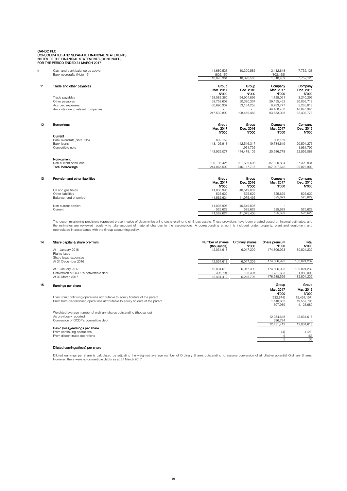| þ  | Cash and bank balance as above<br>Bank overdrafts (Note 12) | 11.680.523<br>(802.159)     | 10.390.585                         | 2,112,648<br>(802.159)        | 7,752,128                     |
|----|-------------------------------------------------------------|-----------------------------|------------------------------------|-------------------------------|-------------------------------|
|    |                                                             | 10.878.364                  | 10.390.585                         | 1,310,489                     | 7,752,128                     |
| 11 | Trade and other payables                                    | Group<br>Mar. 2017          | Group<br>Dec. 2016                 | Company<br>Mar. 2017          | Company<br>Dec. 2016          |
|    |                                                             | N'000                       | <b>N'000</b>                       | N'000<br>1,725,051            | N'000<br>3,210,296            |
|    | Trade payables<br>Other payables                            | 128,082,360<br>58,759,602   | 94,904,896<br>50,390,334           | 29, 155, 462                  | 30,036,718                    |
|    | Accrued expenses                                            | 60,690,937                  | 53, 164, 258                       | 8.283.777                     | 5.285.818                     |
|    | Amounts due to related companies                            |                             |                                    | 44,488,738                    | 43,875,946                    |
|    |                                                             | 247.532.899                 | 198,459,488                        | 83,653,028                    | 82,408,778                    |
| 12 | Borrowings                                                  | Group<br>Mar. 2017<br>N'000 | Group<br>Dec. 2016<br><b>N'000</b> | Company<br>Mar. 2017<br>N'000 | Company<br>Dec. 2016<br>N'000 |
|    | Current                                                     |                             |                                    |                               |                               |
|    | Bank overdraft (Note 10b)                                   | 802.159                     |                                    | 802,159                       |                               |
|    | Bank loans                                                  | 143,126,918                 | 142,516,317                        | 19,784,619                    | 20,594,276                    |
|    | Convertible note                                            | ٠                           | 1.961.792                          |                               | 1,961,792                     |
|    |                                                             | 143,929,077                 | 144.478.109                        | 20,586,778                    | 22,556,068                    |
|    | Non-current                                                 |                             |                                    |                               |                               |
|    | Non-current bank loan<br><b>Total borrowings</b>            | 100,136,425<br>244.065.502  | 101,639,606<br>246.117.715         | 87,320,834<br>107.907.612     | 87,320,834<br>109.876.902     |
|    |                                                             |                             |                                    |                               |                               |
| 13 | Provision and other liabilities                             | Group<br>Mar. 2017          | Group<br>Dec. 2016                 | Company<br>Mar. 2017          | Company<br>Dec. 2016          |
|    |                                                             | N'000                       | <b>N'000</b>                       | N'000                         | <b>N'000</b>                  |
|    | Oil and gas fields                                          | 41,036,995                  | 40,549,807                         |                               |                               |
|    | Other liabilities                                           | 525,629                     | 525,629                            | 525,629                       | 525,629                       |
|    | Balance, end of period                                      | 41,562,624                  | 41,075,436                         | 525,629                       | 525.629                       |
|    | Non current portion                                         | 41,036,995                  | 40,549,807                         |                               |                               |
|    | Current                                                     | 525,629                     | 525,629                            | 525,629                       | 525,629                       |
|    |                                                             | 41.562.624                  | 41.075.436                         | 525.629                       | 525.629                       |

The decommissioning provisions represent present value of decommissioning costs relating to oil & gas assets. These provisions have been created based on internal estimates, anc<br>the estimates are reviewed regularly to take

| 14 | Share capital & share premium                                                    | Number of shares<br>(thousands) | Ordinary shares<br><b>N'000</b> | Share premium<br><b>N'000</b> | Total<br>N'000 |
|----|----------------------------------------------------------------------------------|---------------------------------|---------------------------------|-------------------------------|----------------|
|    | At 1 January 2016                                                                | 12,034,618                      | 6,017,309                       | 174,806,923                   | 180,824,232    |
|    | Rights issue                                                                     |                                 |                                 |                               |                |
|    | Share issue expenses                                                             |                                 |                                 |                               |                |
|    | At 31 December 2016                                                              | 12,034,618                      | 6,017,309                       | 174,806,923                   | 180,824,232    |
|    | At 1 January 2017                                                                | 12.034.618                      | 6.017.309                       | 174,806,923                   | 180,824,232    |
|    | Conversion of OODP's convertible debt                                            | 396,794                         | 198,397                         | 1.781.603                     | 1,980,000      |
|    | At 31 March 2017                                                                 | 12,431,412                      | 6,215,706                       | 176,588,526                   | 182,804,232    |
| 15 | Earnings per share                                                               |                                 |                                 | Group                         | Group          |
|    |                                                                                  |                                 |                                 | Mar 2017                      | Mar. 2016      |
|    |                                                                                  |                                 |                                 | <b>N'000</b>                  | <b>N'000</b>   |
|    | Loss from continuing operations attributable to equity holders of the parent     |                                 |                                 | (532, 674)                    | (15, 434, 107) |
|    | Profit from discontinued operations attributable to equity holders of the parent |                                 |                                 | 1,140,663                     | 19,557,796     |
|    |                                                                                  |                                 |                                 | 607,989                       | 4,123,689      |
|    | Weighted average number of ordinary shares outstanding (thousands)               |                                 |                                 |                               |                |
|    | As previously reported                                                           |                                 |                                 | 12,034,618                    | 12,034,618     |
|    | Conversion of OODP's convertible debt                                            |                                 |                                 | 396.794                       |                |
|    |                                                                                  |                                 |                                 | 12,431,412                    | 12.034.618     |
|    | Basic (loss)/earnings per share                                                  |                                 |                                 |                               |                |
|    | From continuing operations                                                       |                                 |                                 | (4)                           | (128)          |
|    | From discontinued operations                                                     |                                 |                                 | 9                             | 163            |
|    |                                                                                  |                                 |                                 |                               | 35             |

### Diluted earnings/(loss) per share

Diluted earnings per share is calculated by adjusting the weighted average number of Ordinary Shares outstanding to assume conversion of all dilutive potential Ordinary Shares.<br>However, there were no convertible debts as a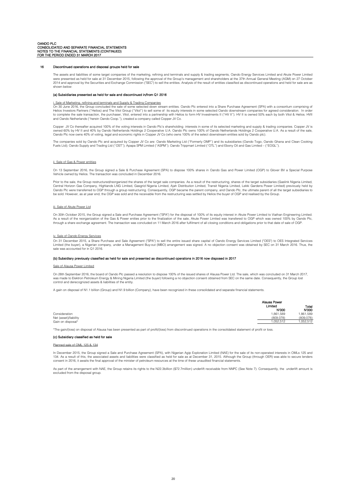#### 16 Discontinued operations and disposal groups held for sale

The assets and liabilities of some target companies of the marketing, refining and terminals and supply & trading segments, Oando Energy Services Limited and Akute Power Limitec<br>were presented as held for sale at 31 Decemb 2014 and approval by the Securities and Exchange Commission ("SEC") to sell the entities. Analysis of the result of entities classified as discontinued operations and held for sale are as shown below:

#### (a) Subsidiaries presented as held for sale and discontinued in/from Q1 2016

#### i. Sale of Marketing, refining and terminals and Supply & Trading Companies

On 30 June 2016, the Group concluded the sale of some selected down stream entities. Oando Plc entered into a Share Purchase Agreement (SPA) with a consortium comprising of Helios Investors Partners ("Helios) and The Vitol Group ("Vitol") to sell some of its equity interests in some selected Oando downstream companies for agreed consideration. In order<br>to complete the sale transaction, the pu and Oando Netherlands (''herein Oando Coop.''), created a company called Copper JV Co.

Copper JV Co thereafter acquired 100% of the voting interests in Oando Plc's shareholding interests in some of its selected marketing and supply & trading companies. Copper JV is owned 60% by HV II and 40% by Oando Netherlands Holdings 2 Cooperative U.A. Oando Plc owns 100% of Oando Netherlands Holdings 2 Cooperative U.A. As a result of the sale, Oando Plc now owns 40% of voting, legal and economic rights in Copper JV Co (who owns 100% of the select downstream entities sold by Oando plc).

The companies sold by Oando Plc and acquired by Copper JV Co are: Oando Marketing Ltd ("Formerly OMP") and its subsidiaries (Oando Togo, Oando Ghana and Clean Cooking<br>Fuels Ltd); Oando Supply and Trading Ltd ("OST"); Apapa

#### ii. Sale of Gas & Power entities

On 13 September 2016, the Group signed a Sale & Purchase Agreement (SPA) to dispose 100% shares in Oando Gas and Power Limited (OGP) to Glover BV a Special Purpose Vehicle owned by Helios. The transaction was concluded in December 2016.

Prior to the sale, the Group restructured/reorganized the shares of the target sale companies. As a result of the restructuring, shares of the target subsidiaries (Gaslink Nigeria Limited, Central Horizon Gas Company, Highlands LNG Limited, Gasgrid Nigeria Limited, Ajah Distribution Limited, Transit Nigeria Limited, Lekki Gardens Power Limited) previously held by<br>Oando Plc were transferred to OGP through a g be sold. However, as at year end, the OGP was sold and the receivable from the restructuring was settled by Helios the buyer of OGP and realised by the Group.

#### iii. Sale of Akute Power Ltd

On 30th October 2015, the Group signed a Sale and Purchase Agreement ("SPA") for the disposal of 100% of its equity interest in Akute Power Limited to Viathan Engineering Limited. As a result of the reorganization of the Gas & Power enities prior to the finalization of the sale, Akute Power Limited was transfered to OGP which was owned 100% by Oando Plc,<br>through a share exchange agreement. The trans

#### iv. Sale of Oando Energy Services

On 31 December 2015, a Share Purchase and Sale Agreement ("SPA") to sell the entire issued share capital of Oando Energy Services Limited ("OES") to OES Integrated Services Limited (the buyer), a Nigerian company, under a Management Buy-out (MBO) arrangement was signed. A no objection consent was obtained by SEC on 31 March 2016. Thus, the sale was accounted for in Q1 2016.

#### (b) Subsidiary previously classified as held for sale and presented as discontinued operations in 2016 now disposed in 2017

#### Sale of Alausa Power Limited

On 28th September 2016, the board of Oando Plc passed a resolution to dispose 100% of the issued shares of Alausa Power Ltd. The sale, which was concluded on 31 March 2017, was made to Elektron Petroleum Energy & Mining Nigeria Limited (the buyer) following a no objection consent obtained from SEC on the same date. Consequently, the Group lost control and derecognized assets & liabilities of the entity.

A gain on disposal of N1.1 billion (Group) and N1.9 billion (Company), have been recognized in these consolidated and separate financial statements.

| Alausa Power |                       |
|--------------|-----------------------|
| Limited      | Total<br><b>N'000</b> |
| 1.861.589    | .861.589              |
| (809.078)    | (809.078)             |
| 1.052.512    | 1.052.512             |
|              | <b>N'000</b>          |

\*The gain/(loss) on disposal of Alausa has been presented as part of profit/(loss) from discontinued operations in the consolidated statement of profit or loss.

#### (c) Subsidiary classified as held for sale

#### Planned sale of OML 125 & 134

In December 2015, the Group signed a Sale and Purchase Agreement (SPA), with Nigerian Agip Exploration Limited (NAE) for the sale of its non-operated interests in OMLs 125 and<br>134. As a result of this, the associated asset consent in 2016, it awaits the final approval of the minister of petroleum resources at the time of these unaudited financial statements.

As part of the arrangement with NAE, the Group retains its rights to the N22.3billion (\$72.7million) underlift receivable from NNPC (See Note 7). Consequently, the underlift amount is excluded from the disposal group.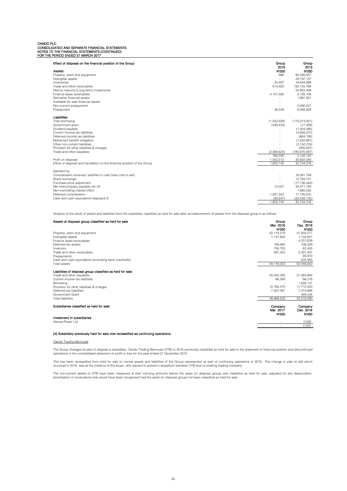| Assets:<br>Property, plant and equipment<br>Intangible assets<br>Inventories<br>Trade and other receivables | N'000<br>966<br>÷.<br>30.497<br>614,922 | <b>N'000</b><br>92.289.457<br>29, 197, 157<br>18.844.888<br>192, 155, 786 |
|-------------------------------------------------------------------------------------------------------------|-----------------------------------------|---------------------------------------------------------------------------|
|                                                                                                             |                                         |                                                                           |
|                                                                                                             |                                         |                                                                           |
|                                                                                                             |                                         |                                                                           |
|                                                                                                             |                                         |                                                                           |
|                                                                                                             |                                         |                                                                           |
| Held to maturity (Long-term) investments                                                                    |                                         | 24,903,458                                                                |
| Finance lease receivables                                                                                   | 4,157,580                               | 2,109,108                                                                 |
| Derivative financial assets                                                                                 |                                         | 1,991,561                                                                 |
| Available-for-sale financial assets                                                                         |                                         |                                                                           |
| Non-current prepayment                                                                                      |                                         | 2.690.021                                                                 |
| Prepayment                                                                                                  | 48.249                                  | 6.069.929                                                                 |
| Liabilities:                                                                                                |                                         |                                                                           |
| Total borrowing                                                                                             | (1.553.928)                             | (174, 314, 001)                                                           |
| Government grant                                                                                            | (449.434)                               | (17.499)                                                                  |
| Dividend payable                                                                                            |                                         | (1,404,490)                                                               |
| Current income tax liabilities                                                                              |                                         | (4.958.075)                                                               |
| Deferred income tax liabilities                                                                             |                                         | (664, 106)                                                                |
| Retirement benefit obligation                                                                               |                                         | (1,822,681)                                                               |
| Other non-current liabilities                                                                               |                                         | (3, 152, 216)                                                             |
| Provision for other liabilities & charges                                                                   |                                         | (900, 087)                                                                |
| Trade and other pavables                                                                                    | (2.068.620)                             | (180.876.087)                                                             |
|                                                                                                             | 780,230                                 | 2, 142, 123                                                               |
| Profit on disposal                                                                                          | 1,052,512                               | 30,602,093                                                                |
| Effect of disposal and liquidation on the financial position of the Group                                   | 1,832,742                               | 32,744,216                                                                |
| Satisfied by:                                                                                               |                                         |                                                                           |
| Consideration received, satisfied in cash (less cost to sell)                                               | ٠                                       | 16.081.748                                                                |
| Share exchange                                                                                              | ٠                                       | 12.784.121                                                                |
| Purchase price adjustment                                                                                   |                                         | (17, 736, 444)                                                            |
| Net intercompany payable net off                                                                            | 14.037                                  | 34,371,784                                                                |
| Non-controlling interest (NCI)                                                                              |                                         | 1,860,532                                                                 |
| Deferred consideration                                                                                      | 1,847,553                               | 17,740,610                                                                |
| Cash and cash equivalents disposed of                                                                       | (28, 847)                               | (32, 358, 135)                                                            |
|                                                                                                             | 1.832.742                               | 32,744,216                                                                |

Analysis of the result of assets and liabilities from the subsidiary classified as held for sale after re-measurement of assets from the disposal group is as follows:

| Assets of disposal group classified as held for sale                                                                                                                                                                             | Group                | Group                |
|----------------------------------------------------------------------------------------------------------------------------------------------------------------------------------------------------------------------------------|----------------------|----------------------|
|                                                                                                                                                                                                                                  | Mar. 2016            | Dec. 2016            |
|                                                                                                                                                                                                                                  | N'000                | <b>N'000</b>         |
| Property, plant and equipment                                                                                                                                                                                                    | 42.119.219           | 41,934,577           |
| Intangible assets                                                                                                                                                                                                                | 1,147,900            | 1,142,841            |
| Finance lease receivables                                                                                                                                                                                                        |                      | 4,201,638            |
| Deferred tax assets                                                                                                                                                                                                              | 106,880              | 106.409              |
| Inventory                                                                                                                                                                                                                        | 156.702              | 62.455               |
| Trade and other receivables                                                                                                                                                                                                      | 587.352              | 2,301,937            |
| Prepayments                                                                                                                                                                                                                      |                      | 90,910               |
| Cash and cash equivalents (excluding bank overdrafts)                                                                                                                                                                            |                      | 205,885              |
| Total assets                                                                                                                                                                                                                     | 44,118,053           | 50,046,652           |
| Liabilities of disposal group classified as held for sale                                                                                                                                                                        |                      |                      |
| Trade and other payables                                                                                                                                                                                                         | 30.430.326           | 31,384,984           |
| Current income tax liabilities                                                                                                                                                                                                   | 66.569               | 66.276               |
| Borrowina                                                                                                                                                                                                                        |                      | 1,628,127            |
| Provision for other liabilities & charges                                                                                                                                                                                        | 12.165.570           | 11,715,403           |
| Deferred tax liabilities                                                                                                                                                                                                         | 7.307.067            | 7.274.866            |
| Government Grant                                                                                                                                                                                                                 |                      | 449.434              |
| <b>Total liabilities</b>                                                                                                                                                                                                         | 49.969.532           | 52,519,090           |
| Subsidiaries classified as held for sale                                                                                                                                                                                         | Company<br>Mar. 2017 | Company<br>Dec. 2016 |
|                                                                                                                                                                                                                                  | <b>N'000</b>         | <b>N'000</b>         |
| Investment in subsidiaries                                                                                                                                                                                                       |                      |                      |
| Alausa Power I td                                                                                                                                                                                                                | <b>.</b>             | 2.500                |
|                                                                                                                                                                                                                                  | ٠                    | 2,500                |
| $\mathbf{A}$ . An analysis of the set of the set of the set of the set of the set of the set of the set of the set of the set of the set of the set of the set of the set of the set of the set of the set of the set of the set |                      |                      |

#### (d) Subsidiary previously held for sale now reclassified as continuing operations

#### Oando Trading Bermuda

The Group changed its plan to dispose a subsidiary, Oando Trading Bermuda (OTB) in 2016 previously classified as held for sale in the statement of financial position and discontinuec<br>operations in the consolidated statemen

This has been reclassified from held for sale to normal assets and liabilities of the Group represented as part of continuing operations in 2016. The change in plan to sell which<br>occurred in 2016, was at the instance of th

The non-current assets of OTB have been measured at their carrying amounts before the asset (or disposal group) was classified as held for sale, adjusted for any depreciation,<br>amortisation or revaluations that would have b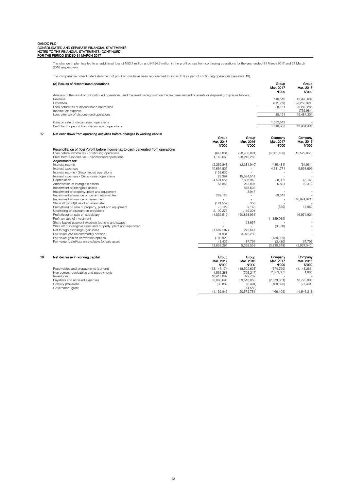The change in plan has led to an additional loss of N53.7 million and N454.9 million in the profit or loss from continuing operations for the year ended 31 March 2017 and 31 March 2016 respectively.

The comparative consolidated statement of profit or loss have been represented to show OTB as part of continuing operations (see note 19).

|    | (e) Results of discontinued operations                                                                                                        | Group<br>Mar. 2017<br>N'000 | Group<br>Mar. 2016<br>N'000 |
|----|-----------------------------------------------------------------------------------------------------------------------------------------------|-----------------------------|-----------------------------|
|    | Analysis of the result of discontinued operations, and the result recognised on the re-measurement of assets or disposal group is as follows: |                             |                             |
|    | Revenue                                                                                                                                       | 140.510                     | 43.493.609                  |
|    | Expenses                                                                                                                                      | (52, 359)                   | (23, 253, 324)              |
|    | Loss before tax of discontinued operations                                                                                                    | 88.151                      | 20.240.285                  |
|    | Income tax expense                                                                                                                            |                             | (755.984)                   |
|    | Loss after tax of discontinued operations                                                                                                     | 88.151                      | 19.484.301                  |
|    | Gain on sale of discontinued operations                                                                                                       | 1.052.512                   |                             |
|    | Profit for the period from discontinued operations                                                                                            | 1.140.663                   | 19.484.301                  |
| 17 | Net cash flows from operating activities before changes in working capital<br>Group<br>Group                                                  | Company                     | Company                     |
|    |                                                                                                                                               |                             |                             |

|                                                                                      | Mar. 2017<br><b>N'000</b> | Mar. 2016<br><b>N'000</b> | Mar. 2017<br>N'000 | Mar. 2016<br>N'000 |
|--------------------------------------------------------------------------------------|---------------------------|---------------------------|--------------------|--------------------|
| Reconciliation of (loss)/profit before income tax to cash generated from operations: |                           |                           |                    |                    |
| Loss before income tax - continuing operations                                       | (647.034)                 | (20, 700, 824)            | (5,501,168)        | (15, 522, 885)     |
| Profit before income tax - discontinued operations                                   | 1.140.663                 | 20.240.285                |                    |                    |
| Adiustments for:                                                                     |                           |                           |                    |                    |
| Interest income                                                                      | (2,269,846)               | (2,331,940)               | (436, 431)         | (61,964)           |
| Interest expenses                                                                    | 10.664.825                |                           | 4.611.771          | 9,551,695          |
| Interest income - Discontinued operations                                            | (153.630)                 |                           |                    |                    |
| Interest expenses - Discontinued operations                                          | 23.397                    | 15,534,514                |                    |                    |
| Depreciation                                                                         | 4.524.551                 | 7.696.943                 | 38,939             | 45,148             |
| Amortisation of intangible assets                                                    | 55,853                    | 263,807                   | 6,591              | 10,312             |
| Impairment of intangible assets                                                      |                           | 873,602                   |                    |                    |
| Impairment of property, plant and equipment                                          |                           | 3.947                     |                    |                    |
| Impairment allowance on current receivables                                          | 269.128                   |                           | 89,313             |                    |
| Impairment allowance on investment                                                   |                           |                           |                    | (46,974,921)       |
| Share of (profit)/loss of an associate                                               | (124, 557)                | 350                       |                    |                    |
| Profit/(loss) on sale of property, plant and equipment                               | (3, 129)                  | 9.146                     | (556)              | 15,859             |
| Unwinding of discount on provisions                                                  | 2.100.273                 | 1.149.301                 |                    |                    |
| Profit/(loss) on sale of subsidiary                                                  | (1,052,512)               | (20, 858, 951)            |                    | 46,974,921         |
| Profit on sale of investment                                                         |                           |                           | (1,859,089)        |                    |
| Share based payment expense (options and swaps)                                      |                           | 93.657                    |                    |                    |
| Write off of intangible asset and property, plant and equipment                      |                           |                           | (3,330)            |                    |
| Net foreign exchange (gain)/loss                                                     | (1,597,297)               | 275.647                   |                    |                    |
| Fair value loss on commodity options                                                 | 91.934                    | 3,072,280                 |                    |                    |
| Fair value gain on convertible options                                               | (180, 929)                |                           | (180, 929)         |                    |
| Fair value (gain)/loss on available for sale asset                                   | (3.430)                   | 37.794                    | (3, 430)           | 37,795             |
|                                                                                      | 12,838,261                | 5,359,558                 | (3.238.319)        | (5,924,040)        |
|                                                                                      |                           |                           |                    |                    |

| 18 | Net decrease in working capital         | Group<br>Mar. 2017       | Group<br>Mar. 2016 | Company<br>Mar. 2017 | Company<br>Mar. 2016 |
|----|-----------------------------------------|--------------------------|--------------------|----------------------|----------------------|
|    |                                         | <b>N'000</b>             | <b>N'000</b>       | <b>N'000</b>         | <b>N'000</b>         |
|    | Receivables and prepayments (current)   | (63.147.174)             | (18.502.623)       | (374, 720)           | (4, 148, 266)        |
|    | Non current receivables and prepayments | 1.555.383                | (795.217)          | 2.583.383            | 1.880                |
|    | Inventories                             | 10.417.097               | 372.782            |                      |                      |
|    | Pavables and accrued expenses           | 50.060.690               | 39.518.853         | (2.573.881)          | 18.770.005           |
|    | Gratuity provisions                     | (38, 839)                | (6, 494)           | (100.890)            | (77, 401)            |
|    | Government grant                        | $\overline{\phantom{a}}$ | (14.550)           |                      |                      |
|    |                                         | 1.152.845)               | 20.572.751         | (466.109)            | 14.546.218           |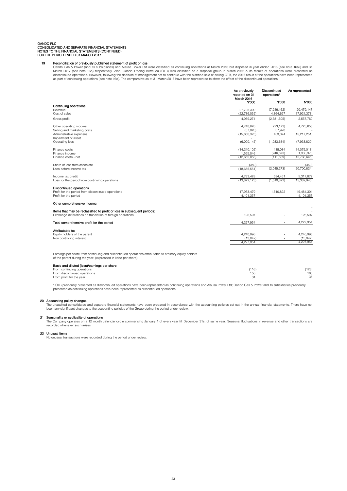#### 19

Reconciliation of previously published statement of profit or loss<br>Oando Gas & Power (and its subsidiaries) and Alausa Power Ltd were classified as continuing operations at March 2016 but disposed in year ended 2016 (see n

|                                                                         | As previously<br>reported on 31<br>March 2016 | Discontinued<br>operations* | As represented |
|-------------------------------------------------------------------------|-----------------------------------------------|-----------------------------|----------------|
|                                                                         | <b>N'000</b>                                  | <b>N'000</b>                | <b>N'000</b>   |
| Continuing operations<br>Revenue                                        | 27,725,309                                    | (7, 246, 162)               | 20,479,147     |
| Cost of sales                                                           | (22, 786, 035)                                | 4,864,657                   | (17, 921, 378) |
| Gross profit                                                            | 4,939,274                                     | (2,381,505)                 | 2,557,769      |
| Other operating income                                                  | 4,748,826                                     | (23, 173)                   | 4,725,653      |
| Selling and marketing costs                                             | (37,920)                                      | 37,920                      |                |
| Administrative expenses                                                 | (15,650,325)                                  | 433,074                     | (15, 217, 251) |
| Impairment of asset<br>Operating loss                                   | (6,000,145)                                   | (1,933,684)                 | (7,933,829)    |
| Finance costs                                                           | (14, 210, 102)                                | 135,084                     | (14,075,018)   |
| Finance income                                                          | 1,555,046                                     | (246, 673)                  | 1,308,373      |
| Finance costs - net                                                     | (12,655,056)                                  | (111,589)                   | (12,766,645)   |
| Share of loss from associate                                            | (350)                                         |                             | (350)          |
| Loss before income tax                                                  | (18,655,551)                                  | (2,045,273)                 | (20, 700, 824) |
| Income tax credit                                                       | 4,783,428                                     | 534,451                     | 5,317,879      |
| Loss for the period from continuing operations                          | (13,872,123)                                  | (1,510,822)                 | (15, 382, 945) |
| Discontinued operations                                                 |                                               |                             |                |
| Profit for the period from discontinued operations                      | 17,973,479                                    | 1,510,822                   | 19,484,301     |
| Profit for the period                                                   | 4,101,357                                     | ٠                           | 4,101,357      |
| Other comprehensive income:                                             |                                               |                             |                |
| Items that may be reclassified to profit or loss in subsequent periods: |                                               |                             |                |
| Exchange differences on translation of foreign operations               | 126,597                                       |                             | 126.597        |
| Total comprehensive profit for the period                               | 4,227,954                                     | $\overline{\phantom{a}}$    | 4,227,954      |
| Attributable to:                                                        |                                               |                             |                |
| Equity holders of the parent                                            | 4,240,996                                     |                             | 4.240.996      |
| Non controlling interest                                                | (13, 042)                                     |                             | (13,042)       |
|                                                                         | 4.227.954                                     | ×,                          | 4.227.954      |
|                                                                         |                                               |                             |                |

Earnings per share from continuing and discontinued operations attributable to ordinary equity holders of the parent during the year: (expressed in kobo per share)

### Basic and diluted (loss)/earnings per share

| ____<br>From continuing operations | ' 16. | (128) |
|------------------------------------|-------|-------|
| From discontinued operations       | 150   | 163   |
| From profit for the year           |       | つに    |
|                                    |       |       |

\* OTB previously presented as discontinued operations have been represented as continuing operations and Alausa Power Ltd; Oando Gas & Power and its subsidiaries previously presented as continuing operations have been represented as discontinued operations.

20 Accounting policy changes<br>The unaudited consolidated and separate financial statements have been prepared in accordance with the accounting policies set out in the annual financial statements. There have not been any significant changes to the accounting policies of the Group during the period under review.

#### 21 Seasonality or cyclicality of operations

The Company operates on a 12 month calendar cycle commencing January 1 of every year till December 31st of same year. Seasonal fluctuations in revenue and other transactions are<br>recorded whenever such arises.

#### 22 Unusual items

No unusual transactions were recorded during the period under review.